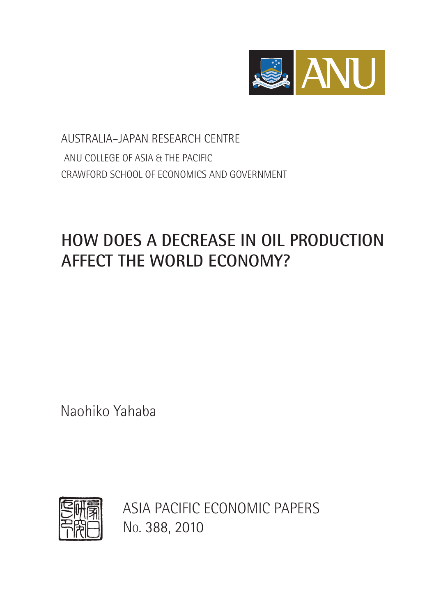

Australia–Japan Research Centre ANU College of Asia & the Pacific Crawford School of Economics and Government

# **HOW DOES A DECREASE IN OIL PRODUCTION AFFECT THE WORLD ECONOMY?**

Naohiko Yahaba



ASIA Pacific Economic Papers No. 388, 2010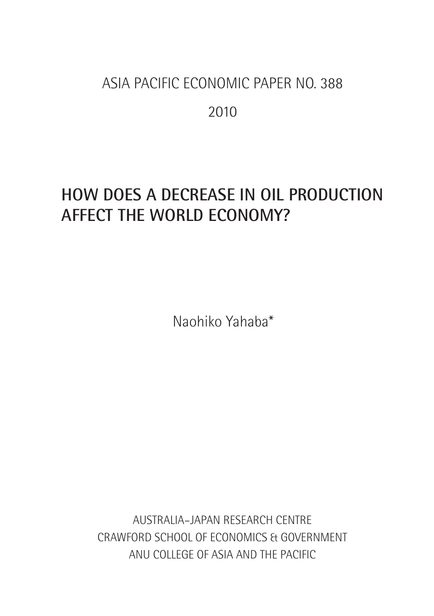# ASIA Pacific Economic Paper No. 388 2010

# **How does a decrease in oil production affect the world economy?**

Naohiko Yahaba\*

Australia–Japan Research Centre Crawford School of Economics & Government ANU COLLEGE OF ASIA AND THE PACIFIC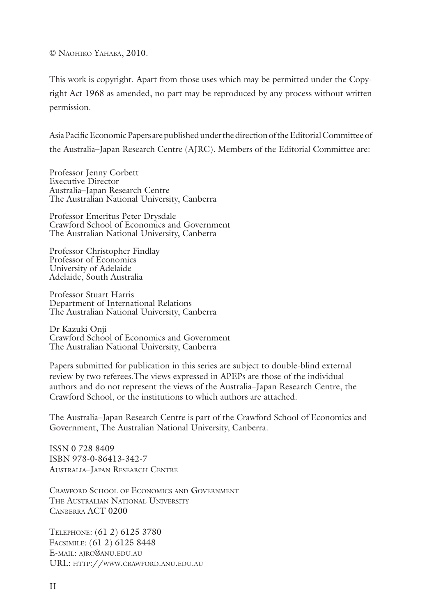© Naohiko Yahaba, 2010.

This work is copyright. Apart from those uses which may be permitted under the Copyright Act 1968 as amended, no part may be reproduced by any process without written permission.

Asia Pacific Economic Papers are published under the direction of the Editorial Committee of the Australia–Japan Research Centre (AJRC). Members of the Editorial Committee are:

Professor Jenny Corbett Executive Director Australia–Japan Research Centre The Australian National University, Canberra

Professor Emeritus Peter Drysdale Crawford School of Economics and Government The Australian National University, Canberra

Professor Christopher Findlay Professor of Economics University of Adelaide Adelaide, South Australia

Professor Stuart Harris Department of International Relations The Australian National University, Canberra

Dr Kazuki Onji Crawford School of Economics and Government The Australian National University, Canberra

Papers submitted for publication in this series are subject to double-blind external review by two referees.The views expressed in APEPs are those of the individual authors and do not represent the views of the Australia–Japan Research Centre, the Crawford School, or the institutions to which authors are attached.

The Australia–Japan Research Centre is part of the Crawford School of Economics and Government, The Australian National University, Canberra.

ISSN 0 728 8409 ISBN 978-0-86413-342-7 Australia–Japan Research Centre

Crawford School of Economics and Government The Australian National University Canberra ACT 0200

Telephone: (61 2) 6125 3780 Facsimile: (61 2) 6125 8448 E-mail: ajrc@anu.edu.au URL: http://www.crawford.anu.edu.au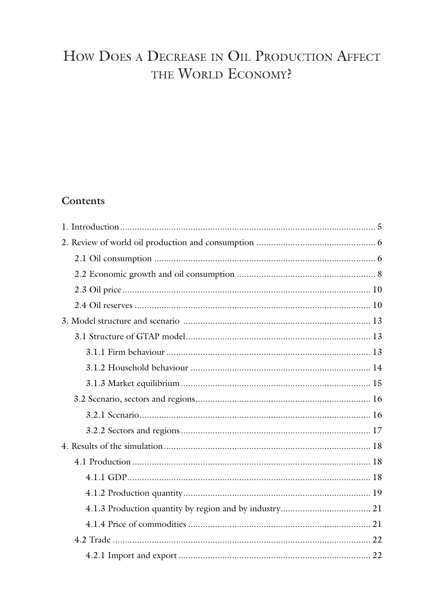# HOW DOES A DECREASE IN OIL PRODUCTION AFFECT THE WORLD ECONOMY?

# Contents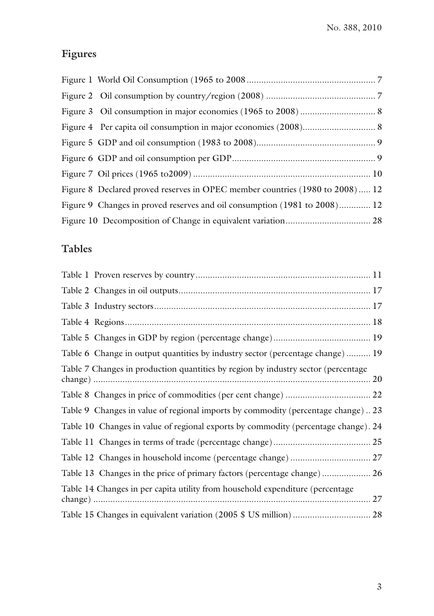# **Figures**

| Figure 8 Declared proved reserves in OPEC member countries (1980 to 2008) 12 |  |
|------------------------------------------------------------------------------|--|
| Figure 9 Changes in proved reserves and oil consumption (1981 to 2008) 12    |  |
|                                                                              |  |

# **Tables**

| Table 6 Change in output quantities by industry sector (percentage change)  19     |
|------------------------------------------------------------------------------------|
| Table 7 Changes in production quantities by region by industry sector (percentage  |
|                                                                                    |
| Table 9 Changes in value of regional imports by commodity (percentage change)  23  |
| Table 10 Changes in value of regional exports by commodity (percentage change). 24 |
|                                                                                    |
|                                                                                    |
| Table 13 Changes in the price of primary factors (percentage change) 26            |
| Table 14 Changes in per capita utility from household expenditure (percentage      |
|                                                                                    |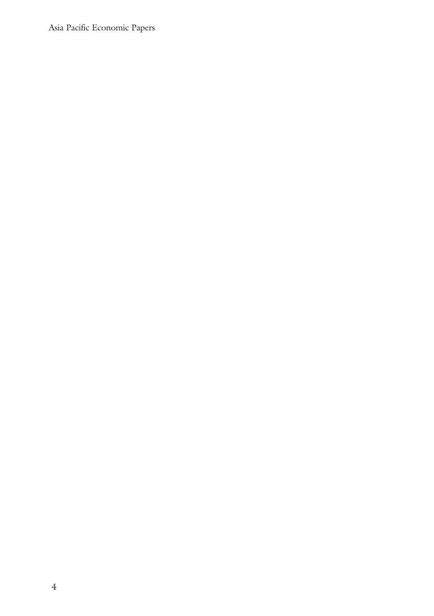Asia Pacific Economic Papers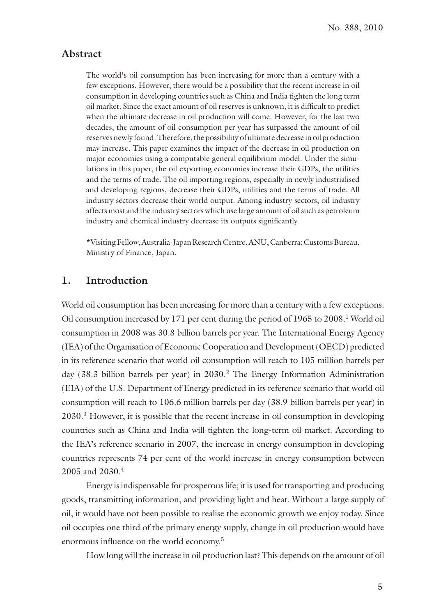## **Abstract**

The world's oil consumption has been increasing for more than a century with a few exceptions. However, there would be a possibility that the recent increase in oil consumption in developing countries such as China and India tighten the long term oil market. Since the exact amount of oil reserves is unknown, it is difficult to predict when the ultimate decrease in oil production will come. However, for the last two decades, the amount of oil consumption per year has surpassed the amount of oil reserves newly found. Therefore, the possibility of ultimate decrease in oil production may increase. This paper examines the impact of the decrease in oil production on major economies using a computable general equilibrium model. Under the simulations in this paper, the oil exporting economies increase their GDPs, the utilities and the terms of trade. The oil importing regions, especially in newly industrialised and developing regions, decrease their GDPs, utilities and the terms of trade. All industry sectors decrease their world output. Among industry sectors, oil industry affects most and the industry sectors which use large amount of oil such as petroleum industry and chemical industry decrease its outputs significantly.

\*Visiting Fellow, Australia-Japan Research Centre, ANU, Canberra; Customs Bureau, Ministry of Finance, Japan.

# **1. Introduction**

World oil consumption has been increasing for more than a century with a few exceptions. Oil consumption increased by 171 per cent during the period of 1965 to 2008.<sup>1</sup> World oil consumption in 2008 was 30.8 billion barrels per year. The International Energy Agency (IEA) of the Organisation of Economic Cooperation and Development (OECD) predicted in its reference scenario that world oil consumption will reach to 105 million barrels per day (38.3 billion barrels per year) in 2030.2 The Energy Information Administration (EIA) of the U.S. Department of Energy predicted in its reference scenario that world oil consumption will reach to 106.6 million barrels per day (38.9 billion barrels per year) in 2030.3 However, it is possible that the recent increase in oil consumption in developing countries such as China and India will tighten the long-term oil market. According to the IEA's reference scenario in 2007, the increase in energy consumption in developing countries represents 74 per cent of the world increase in energy consumption between 2005 and 2030.4

Energy is indispensable for prosperous life; it is used for transporting and producing goods, transmitting information, and providing light and heat. Without a large supply of oil, it would have not been possible to realise the economic growth we enjoy today. Since oil occupies one third of the primary energy supply, change in oil production would have enormous influence on the world economy.5

How long will the increase in oil production last? This depends on the amount of oil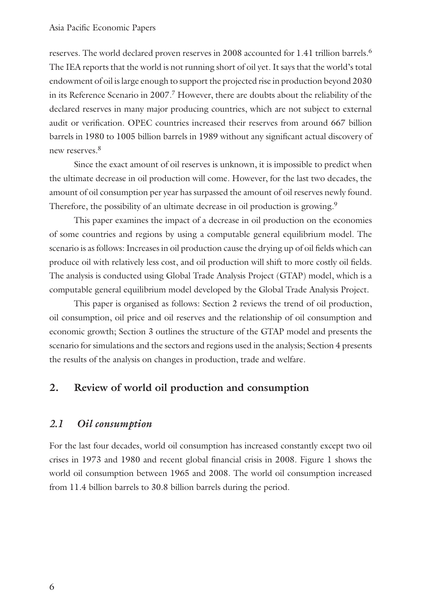reserves. The world declared proven reserves in 2008 accounted for 1.41 trillion barrels.<sup>6</sup> The IEA reports that the world is not running short of oil yet. It says that the world's total endowment of oil is large enough to support the projected rise in production beyond 2030 in its Reference Scenario in 2007.<sup>7</sup> However, there are doubts about the reliability of the declared reserves in many major producing countries, which are not subject to external audit or verification. OPEC countries increased their reserves from around 667 billion barrels in 1980 to 1005 billion barrels in 1989 without any significant actual discovery of new reserves 8

Since the exact amount of oil reserves is unknown, it is impossible to predict when the ultimate decrease in oil production will come. However, for the last two decades, the amount of oil consumption per year has surpassed the amount of oil reserves newly found. Therefore, the possibility of an ultimate decrease in oil production is growing.<sup>9</sup>

This paper examines the impact of a decrease in oil production on the economies of some countries and regions by using a computable general equilibrium model. The scenario is as follows: Increases in oil production cause the drying up of oil fields which can produce oil with relatively less cost, and oil production will shift to more costly oil fields. The analysis is conducted using Global Trade Analysis Project (GTAP) model, which is a computable general equilibrium model developed by the Global Trade Analysis Project.

This paper is organised as follows: Section 2 reviews the trend of oil production, oil consumption, oil price and oil reserves and the relationship of oil consumption and economic growth; Section 3 outlines the structure of the GTAP model and presents the scenario for simulations and the sectors and regions used in the analysis; Section 4 presents the results of the analysis on changes in production, trade and welfare.

# **2. Review of world oil production and consumption**

## *2.1 Oil consumption*

For the last four decades, world oil consumption has increased constantly except two oil crises in 1973 and 1980 and recent global financial crisis in 2008. Figure 1 shows the world oil consumption between 1965 and 2008. The world oil consumption increased from 11.4 billion barrels to 30.8 billion barrels during the period.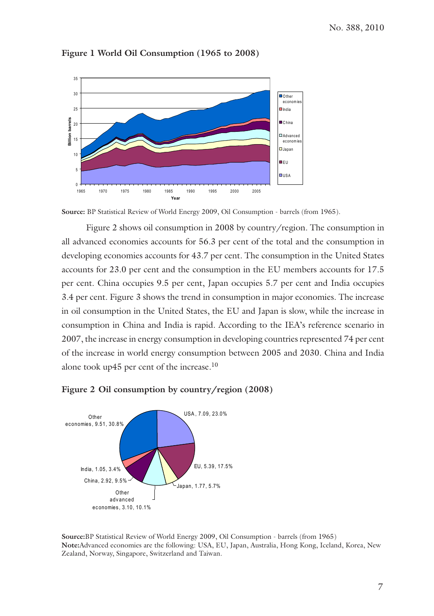

**Figure 1 World Oil Consumption (1965 to 2008)**

**Source:** BP Statistical Review of World Energy 2009, Oil Consumption - barrels (from 1965).

Figure 2 shows oil consumption in 2008 by country/region. The consumption in all advanced economies accounts for 56.3 per cent of the total and the consumption in developing economies accounts for 43.7 per cent. The consumption in the United States accounts for 23.0 per cent and the consumption in the EU members accounts for 17.5 per cent. China occupies 9.5 per cent, Japan occupies 5.7 per cent and India occupies 3.4 per cent. Figure 3 shows the trend in consumption in major economies. The increase in oil consumption in the United States, the EU and Japan is slow, while the increase in consumption in China and India is rapid. According to the IEA's reference scenario in 2007, the increase in energy consumption in developing countries represented 74 per cent of the increase in world energy consumption between 2005 and 2030. China and India alone took up45 per cent of the increase.<sup>10</sup>



#### **Figure 2 Oil consumption by country/region (2008)**

**Source:**BP Statistical Review of World Energy 2009, Oil Consumption - barrels (from 1965) **Note:**Advanced economies are the following: USA, EU, Japan, Australia, Hong Kong, Iceland, Korea, New Zealand, Norway, Singapore, Switzerland and Taiwan.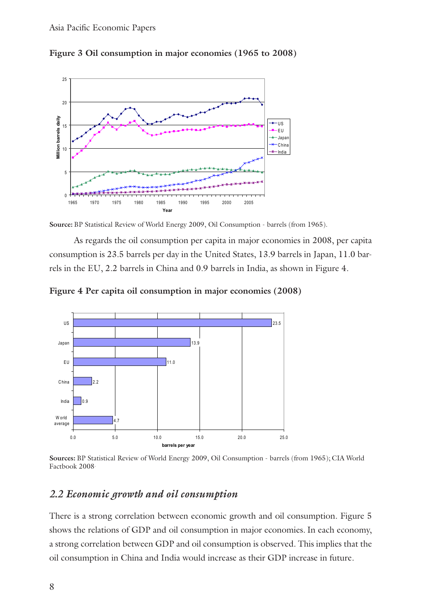

**Figure 3 Oil consumption in major economies (1965 to 2008)**

**Source:** BP Statistical Review of World Energy 2009, Oil Consumption - barrels (from 1965).

As regards the oil consumption per capita in major economies in 2008, per capita consumption is 23.5 barrels per day in the United States, 13.9 barrels in Japan, 11.0 barrels in the EU, 2.2 barrels in China and 0.9 barrels in India, as shown in Figure 4.





**Sources:** BP Statistical Review of World Energy 2009, Oil Consumption - barrels (from 1965); CIA World Factbook 2008.

# *2.2 Economic growth and oil consumption*

There is a strong correlation between economic growth and oil consumption. Figure 5 shows the relations of GDP and oil consumption in major economies. In each economy, a strong correlation between GDP and oil consumption is observed. This implies that the oil consumption in China and India would increase as their GDP increase in future.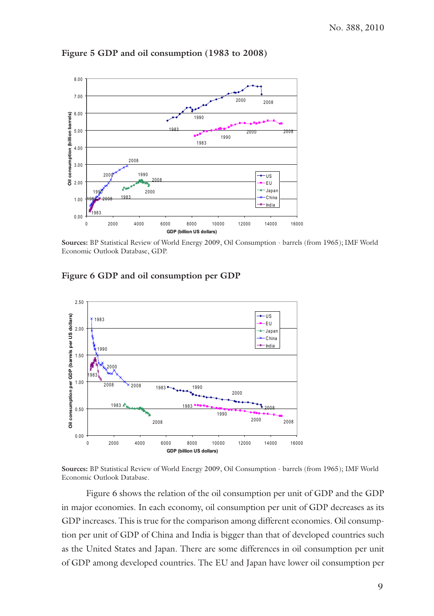

**Figure 5 GDP and oil consumption (1983 to 2008)**

**Sources:** BP Statistical Review of World Energy 2009, Oil Consumption - barrels (from 1965); IMF World Economic Outlook Database, GDP.





**Sources:** BP Statistical Review of World Energy 2009, Oil Consumption - barrels (from 1965); IMF World Economic Outlook Database.

Figure 6 shows the relation of the oil consumption per unit of GDP and the GDP in major economies. In each economy, oil consumption per unit of GDP decreases as its GDP increases. This is true for the comparison among different economies. Oil consumption per unit of GDP of China and India is bigger than that of developed countries such as the United States and Japan. There are some differences in oil consumption per unit of GDP among developed countries. The EU and Japan have lower oil consumption per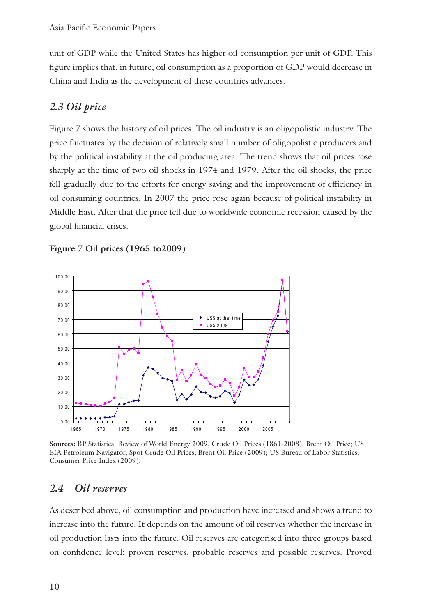unit of GDP while the United States has higher oil consumption per unit of GDP. This figure implies that, in future, oil consumption as a proportion of GDP would decrease in China and India as the development of these countries advances.

# *2.3 Oil price*

Figure 7 shows the history of oil prices. The oil industry is an oligopolistic industry. The price fluctuates by the decision of relatively small number of oligopolistic producers and by the political instability at the oil producing area. The trend shows that oil prices rose sharply at the time of two oil shocks in 1974 and 1979. After the oil shocks, the price fell gradually due to the efforts for energy saving and the improvement of efficiency in oil consuming countries. In 2007 the price rose again because of political instability in Middle East. After that the price fell due to worldwide economic recession caused by the global financial crises.





**Sources:** BP Statistical Review of World Energy 2009, Crude Oil Prices (1861-2008), Brent Oil Price; US EIA Petroleum Navigator, Spot Crude Oil Prices, Brent Oil Price (2009); US Bureau of Labor Statistics, Consumer Price Index (2009).

# *2.4 Oil reserves*

As described above, oil consumption and production have increased and shows a trend to increase into the future. It depends on the amount of oil reserves whether the increase in oil production lasts into the future. Oil reserves are categorised into three groups based on confidence level: proven reserves, probable reserves and possible reserves. Proved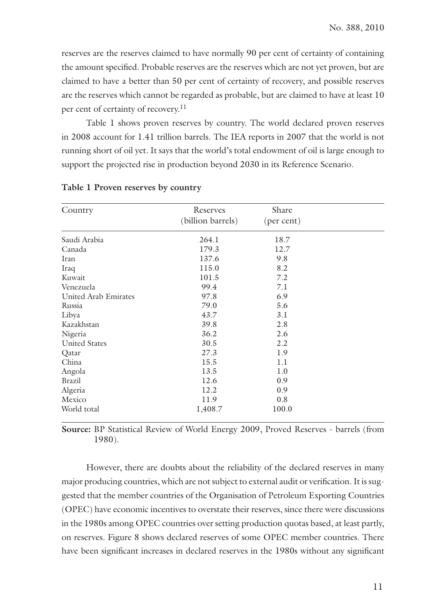reserves are the reserves claimed to have normally 90 per cent of certainty of containing the amount specified. Probable reserves are the reserves which are not yet proven, but are claimed to have a better than 50 per cent of certainty of recovery, and possible reserves are the reserves which cannot be regarded as probable, but are claimed to have at least 10 per cent of certainty of recovery.<sup>11</sup>

Table 1 shows proven reserves by country. The world declared proven reserves in 2008 account for 1.41 trillion barrels. The IEA reports in 2007 that the world is not running short of oil yet. It says that the world's total endowment of oil is large enough to support the projected rise in production beyond 2030 in its Reference Scenario.

| Country              | Reserves          | Share      |  |
|----------------------|-------------------|------------|--|
|                      | (billion barrels) | (per cent) |  |
| Saudi Arabia         | 264.1             | 18.7       |  |
| Canada               | 179.3             | 12.7       |  |
| Iran                 | 137.6             | 9.8        |  |
| Iraq                 | 115.0             | 8.2        |  |
| Kuwait               | 101.5             | 7.2        |  |
| Venezuela            | 99.4              | 7.1        |  |
| United Arab Emirates | 97.8              | 6.9        |  |
| Russia               | 79.0              | 5.6        |  |
| Libya                | 43.7              | 3.1        |  |
| Kazakhstan           | 39.8              | 2.8        |  |
| Nigeria              | 36.2              | 2.6        |  |
| <b>United States</b> | 30.5              | 2.2        |  |
| Qatar                | 27.3              | 1.9        |  |
| China                | 15.5              | 1.1        |  |
| Angola               | 13.5              | 1.0        |  |
| <b>Brazil</b>        | 12.6              | 0.9        |  |
| Algeria              | 12.2              | 0.9        |  |
| Mexico               | 11.9              | 0.8        |  |
| World total          | 1,408.7           | 100.0      |  |

#### **Table 1 Proven reserves by country**

**Source:** BP Statistical Review of World Energy 2009, Proved Reserves - barrels (from 1980).

However, there are doubts about the reliability of the declared reserves in many major producing countries, which are not subject to external audit or verification. It is suggested that the member countries of the Organisation of Petroleum Exporting Countries (OPEC) have economic incentives to overstate their reserves, since there were discussions in the 1980s among OPEC countries over setting production quotas based, at least partly, on reserves. Figure 8 shows declared reserves of some OPEC member countries. There have been significant increases in declared reserves in the 1980s without any significant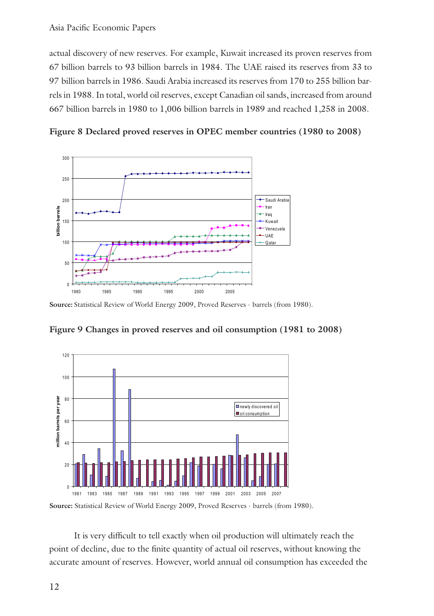actual discovery of new reserves. For example, Kuwait increased its proven reserves from 67 billion barrels to 93 billion barrels in 1984. The UAE raised its reserves from 33 to 97 billion barrels in 1986. Saudi Arabia increased its reserves from 170 to 255 billion barrels in 1988. In total, world oil reserves, except Canadian oil sands, increased from around 667 billion barrels in 1980 to 1,006 billion barrels in 1989 and reached 1,258 in 2008.





**Source:** Statistical Review of World Energy 2009, Proved Reserves - barrels (from 1980).





**Source:** Statistical Review of World Energy 2009, Proved Reserves - barrels (from 1980).

It is very difficult to tell exactly when oil production will ultimately reach the point of decline, due to the finite quantity of actual oil reserves, without knowing the accurate amount of reserves. However, world annual oil consumption has exceeded the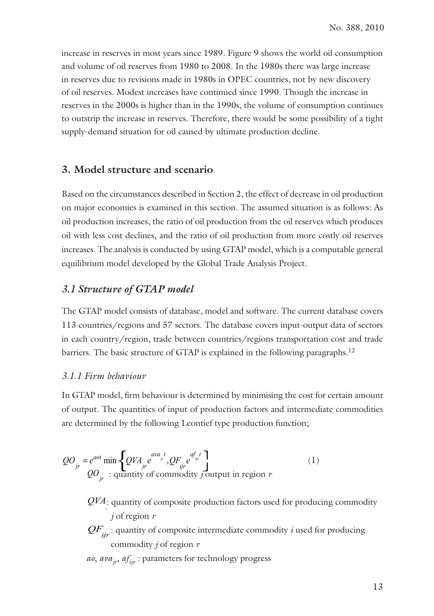increase in reserves in most years since 1989. Figure 9 shows the world oil consumption and volume of oil reserves from 1980 to 2008. In the 1980s there was large increase in reserves due to revisions made in 1980s in OPEC countries, not by new discovery of oil reserves. Modest increases have continued since 1990. Though the increase in reserves in the 2000s is higher than in the 1990s, the volume of consumption continues to outstrip the increase in reserves. Therefore, there would be some possibility of a tight supply-demand situation for oil caused by ultimate production decline.

## **3. Model structure and scenario**

Based on the circumstances described in Section 2, the effect of decrease in oil production on major economies is examined in this section. The assumed situation is as follows: As oil production increases, the ratio of oil production from the oil reserves which produces oil with less cost declines, and the ratio of oil production from more costly oil reserves increases. The analysis is conducted by using GTAP model, which is a computable general equilibrium model developed by the Global Trade Analysis Project.

## *3.1 Structure of GTAP model*

The GTAP model consists of database, model and software. The current database covers 113 countries/regions and 57 sectors. The database covers input-output data of sectors in each country/region, trade between countries/regions transportation cost and trade barriers. The basic structure of GTAP is explained in the following paragraphs.<sup>12</sup>

#### *3.1.1 Firm behaviour*

In GTAP model, firm behaviour is determined by minimising the cost for certain amount of output. The quantities of input of production factors and intermediate commodities are determined by the following Leontief type production function;

$$
QO_{jr} = e^{aot} \min \left\{ QVA_{jr} e^{avg_{jr}t}, QF_{ij}e^{af_{ij}t} \right\}
$$
\n(1)  
\n
$$
QO_{jr} : \text{quantity of commodity } j \text{ output in region } r
$$
\n
$$
QVA : \text{quantity of composite production factors used for producing commodity } j \text{ of region } r
$$

- $QF_{ijr}$ : quantity of composite intermediate commodity *i* used for producing commodity *j* of region *r*
- $ao, ava<sub>ir</sub>, af<sub>irr</sub>$ : parameters for technology progress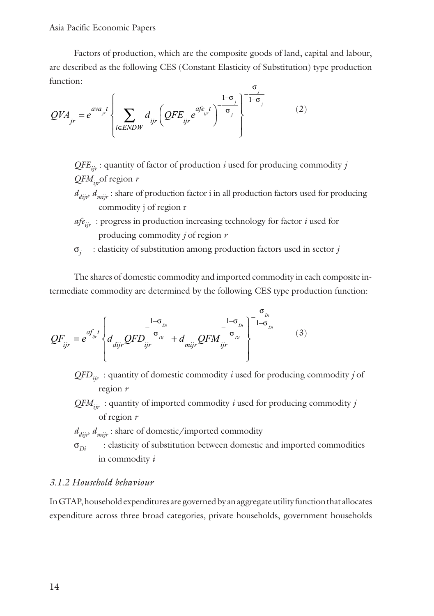Factors of production, which are the composite goods of land, capital and labour, are described as the following CES (Constant Elasticity of Substitution) type production function:

$$
QVA_{jr} = e^{av_{jr}t} \left\{ \sum_{i \in ENDW} d_{ijr} \left( QFE_{ijr} e^{afe_{ijr}t} \right)^{-\frac{1-\sigma_j}{\sigma_j}} \right\}^{-\frac{\sigma_j}{1-\sigma_j}}
$$
(2)

 $QFE_{ijr}$ : quantity of factor of production *i* used for producing commodity *j QFMijr*of region *r*

- $d_{div}$ ,  $d_{mit}$ : share of production factor i in all production factors used for producing commodity j of region r
- $af \hat{e}_{ijr}$ : progress in production increasing technology for factor *i* used for producing commodity *j* of region *r*
- σ*j* : elasticity of substitution among production factors used in sector *j*

The shares of domestic commodity and imported commodity in each composite intermediate commodity are determined by the following CES type production function:

$$
QF_{ijr} = e^{af_{ijr}t} \left\{ d_{dijr} QFD_{ijr}^{-\frac{1-\sigma_{Di}}{\sigma_{Di}}} + d_{mijr} QFM_{ijr}^{-\frac{1-\sigma_{Di}}{\sigma_{Di}}} \right\}^{-\frac{\sigma_{Di}}{1-\sigma_{Di}}} \tag{3}
$$

- $QFD_{ijr}$ : quantity of domestic commodity *i* used for producing commodity *j* of region *r*
- $QFM_{ijr}$ : quantity of imported commodity *i* used for producing commodity *j* of region *r*
- $d_{div}$ ,  $d_{mitir}$ : share of domestic/imported commodity
- σ*Di* : elasticity of substitution between domestic and imported commodities in commodity *i*

## *3.1.2 Household behaviour*

In GTAP, household expenditures are governed by an aggregate utility function that allocates expenditure across three broad categories, private households, government households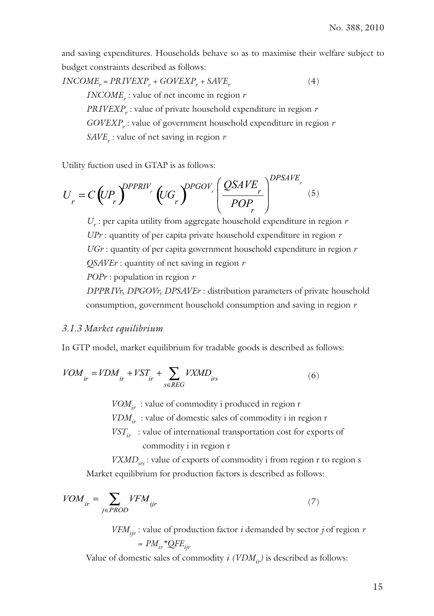and saving expenditures. Households behave so as to maximise their welfare subject to budget constraints described as follows:

 $INCOME_r = PRIVEXP_r + GOVEXP_r + SAVE_r$ <sup>(4)</sup> *INCOME<sub>r</sub>*: value of net income in region  $r$ *PRIVEXP*<sub>*r*</sub>: value of private household expenditure in region *r GOVEXP*<sub>*r*</sub>: value of government household expenditure in region *r SAVE<sub>r</sub>*: value of net saving in region *r* 

Utility fuction used in GTAP is as follows:

$$
U_r = C \left( U P_r \right)^{DPPRIV} \left( U G_r \right)^{DPGOV_r} \left( \frac{QSAVE_r}{POP_r} \right)^{DPSAVE_r}
$$
 (5)

*Ur* : per capita utility from aggregate household expenditure in region *r UPr* : quantity of per capita private household expenditure in region *r UGr* : quantity of per capita government household expenditure in region *r QSAVEr* : quantity of net saving in region *r*

*POPr* : population in region *r*

*DPPRIVr, DPGOVr, DPSAVEr* : distribution parameters of private household consumption, government household consumption and saving in region *r*

#### *3.1.3 Market equilibrium*

In GTP model, market equilibrium for tradable goods is described as follows:

$$
VOM_{ir} = VDM_{ir} + VST_{ir} + \sum_{s \in REG} VXMD_{irs}
$$
 (6)

 *VOMir* : value of commodity i produced in region r *VDMir* : value of domestic sales of commodity i in region r *VST<sub>ir</sub>* : value of international transportation cost for exports of commodity i in region r

*VXMD*<sub>irs</sub>: value of exports of commodity i from region r to region s Market equilibrium for production factors is described as follows:

$$
VOM_{ir} = \sum_{j \in PROD} VFM_{ijr}
$$
\n<sup>(7)</sup>

*VFM*<sub>iir</sub>: value of production factor *i* demanded by sector *j* of region  $r$  $= PM_{ir} * QFE_{ijr}$ 

Value of domestic sales of commodity  $i$  ( $VDM_{i*}$ ) is described as follows: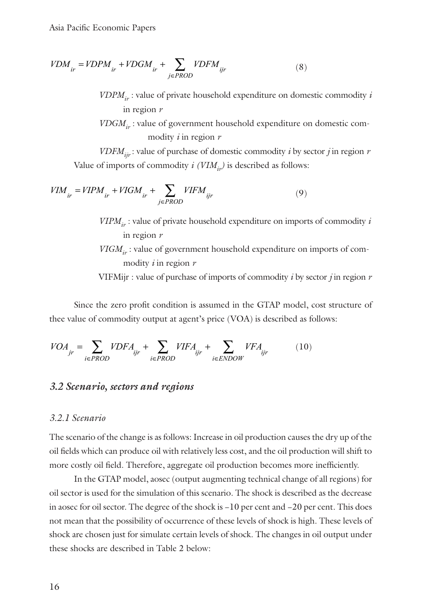$$
VDM_{ir} = VDPM_{ir} + VDGM_{ir} + \sum_{j \in PROD} VDFM_{ijr}
$$
\n
$$
(8)
$$

 $VDDM<sub>ir</sub>$ : value of private household expenditure on domestic commodity  $i$ in region *r*

*VDGM<sub>ir</sub>*: value of government household expenditure on domestic commodity *i* in region *r*

*VDFM<sub>iir</sub>*: value of purchase of domestic commodity *i* by sector *j* in region  $r$ Value of imports of commodity  $i$  ( $VIM_{i\omega}$ ) is described as follows:

$$
VIM_{ir} = VIPM_{ir} + VIGM_{ir} + \sum_{j \in PROD} VIFM_{ijr}
$$
\n
$$
(9)
$$

*VIPM<sub>ir</sub>*: value of private household expenditure on imports of commodity  $i$ in region *r*

*VIGM<sub>ir</sub>*: value of government household expenditure on imports of commodity *i* in region *r*

VIFMijr : value of purchase of imports of commodity *i* by sector *j* in region *r*

Since the zero profit condition is assumed in the GTAP model, cost structure of thee value of commodity output at agent's price (VOA) is described as follows:

$$
VOA_{jr} = \sum_{i \in PROD} VDFA_{ijr} + \sum_{i \in PROD} VIFA_{ijr} + \sum_{i \in ENDOW} VFA_{ijr}
$$
 (10)

# *3.2 Scenario, sectors and regions*

## *3.2.1 Scenario*

The scenario of the change is as follows: Increase in oil production causes the dry up of the oil fields which can produce oil with relatively less cost, and the oil production will shift to more costly oil field. Therefore, aggregate oil production becomes more inefficiently.

In the GTAP model, aosec (output augmenting technical change of all regions) for oil sector is used for the simulation of this scenario. The shock is described as the decrease in aosec for oil sector. The degree of the shock is −10 per cent and −20 per cent. This does not mean that the possibility of occurrence of these levels of shock is high. These levels of shock are chosen just for simulate certain levels of shock. The changes in oil output under these shocks are described in Table 2 below: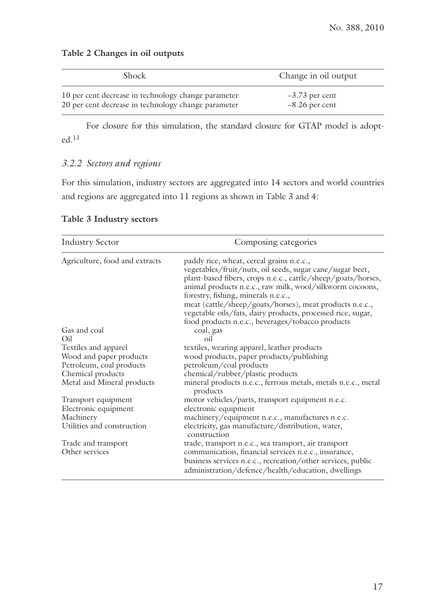# **Table 2 Changes in oil outputs**

| Shock                                               | Change in oil output |
|-----------------------------------------------------|----------------------|
| 10 per cent decrease in technology change parameter | $-3.73$ per cent     |
| 20 per cent decrease in technology change parameter | $-8.26$ per cent     |

For closure for this simulation, the standard closure for GTAP model is adopted.13

# *3.2.2 Sectors and regions*

For this simulation, industry sectors are aggregated into 14 sectors and world countries and regions are aggregated into 11 regions as shown in Table 3 and 4:

| <b>Industry Sector</b>         | Composing categories                                                                                                                                                                                                                                                                                                                                                                                                                                  |
|--------------------------------|-------------------------------------------------------------------------------------------------------------------------------------------------------------------------------------------------------------------------------------------------------------------------------------------------------------------------------------------------------------------------------------------------------------------------------------------------------|
| Agriculture, food and extracts | paddy rice, wheat, cereal grains n.e.c.,<br>vegetables/fruit/nuts, oil seeds, sugar cane/sugar beet,<br>plant-based fibers, crops n.e.c., cattle/sheep/goats/horses,<br>animal products n.e.c., raw milk, wool/silkworm cocoons,<br>forestry, fishing, minerals n.e.c.,<br>meat (cattle/sheep/goats/horses), meat products n.e.c.,<br>vegetable oils/fats, dairy products, processed rice, sugar,<br>food products n.e.c., beverages/tobacco products |
| Gas and coal                   | coal, gas                                                                                                                                                                                                                                                                                                                                                                                                                                             |
| Oil                            | $\overline{0}$                                                                                                                                                                                                                                                                                                                                                                                                                                        |
| Textiles and apparel           | textiles, wearing apparel, leather products                                                                                                                                                                                                                                                                                                                                                                                                           |
| Wood and paper products        | wood products, paper products/publishing                                                                                                                                                                                                                                                                                                                                                                                                              |
| Petroleum, coal products       | petroleum/coal products                                                                                                                                                                                                                                                                                                                                                                                                                               |
| Chemical products              | chemical/rubber/plastic products                                                                                                                                                                                                                                                                                                                                                                                                                      |
| Metal and Mineral products     | mineral products n.e.c., ferrous metals, metals n.e.c., metal<br>products                                                                                                                                                                                                                                                                                                                                                                             |
| Transport equipment            | motor vehicles/parts, transport equipment n.e.c.                                                                                                                                                                                                                                                                                                                                                                                                      |
| Electronic equipment           | electronic equipment                                                                                                                                                                                                                                                                                                                                                                                                                                  |
| Machinery                      | machinery/equipment n.e.c., manufactures n.e.c.                                                                                                                                                                                                                                                                                                                                                                                                       |
| Utilities and construction     | electricity, gas manufacture/distribution, water,<br>construction                                                                                                                                                                                                                                                                                                                                                                                     |
| Trade and transport            | trade, transport n.e.c., sea transport, air transport                                                                                                                                                                                                                                                                                                                                                                                                 |
| Other services                 | communication, financial services n.e.c., insurance,<br>business services n.e.c., recreation/other services, public<br>administration/defence/health/education, dwellings                                                                                                                                                                                                                                                                             |

## **Table 3 Industry sectors**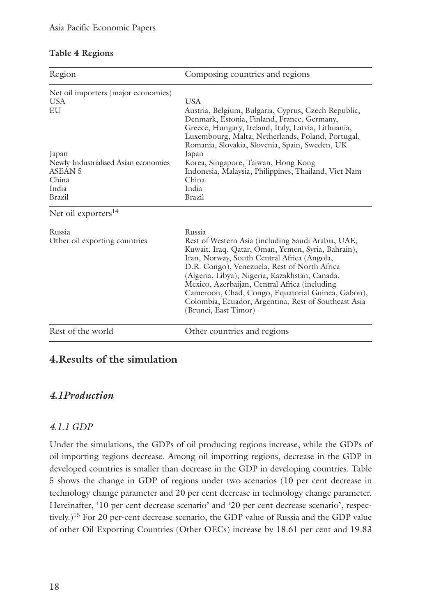#### **Table 4 Regions**

| Region                                                 | Composing countries and regions                                                                                                                                                                                                                                                                                                                                                                                                                           |
|--------------------------------------------------------|-----------------------------------------------------------------------------------------------------------------------------------------------------------------------------------------------------------------------------------------------------------------------------------------------------------------------------------------------------------------------------------------------------------------------------------------------------------|
| Net oil importers (major economies)<br><b>USA</b>      | <b>USA</b>                                                                                                                                                                                                                                                                                                                                                                                                                                                |
| EU                                                     | Austria, Belgium, Bulgaria, Cyprus, Czech Republic,<br>Denmark, Estonia, Finland, France, Germany,<br>Greece, Hungary, Ireland, Italy, Latvia, Lithuania,<br>Luxembourg, Malta, Netherlands, Poland, Portugal,<br>Romania, Slovakia, Slovenia, Spain, Sweden, UK                                                                                                                                                                                          |
| Japan                                                  | Japan                                                                                                                                                                                                                                                                                                                                                                                                                                                     |
| Newly Industrialised Asian economies<br><b>ASEAN 5</b> | Korea, Singapore, Taiwan, Hong Kong<br>Indonesia, Malaysia, Philippines, Thailand, Viet Nam                                                                                                                                                                                                                                                                                                                                                               |
| China                                                  | China                                                                                                                                                                                                                                                                                                                                                                                                                                                     |
| India                                                  | India                                                                                                                                                                                                                                                                                                                                                                                                                                                     |
| <b>Brazil</b>                                          | Brazil                                                                                                                                                                                                                                                                                                                                                                                                                                                    |
| Net oil exporters <sup>14</sup>                        |                                                                                                                                                                                                                                                                                                                                                                                                                                                           |
| Russia<br>Other oil exporting countries                | Russia<br>Rest of Western Asia (including Saudi Arabia, UAE,<br>Kuwait, Iraq, Qatar, Oman, Yemen, Syria, Bahrain),<br>Iran, Norway, South Central Africa (Angola,<br>D.R. Congo), Venezuela, Rest of North Africa<br>(Algeria, Libya), Nigeria, Kazakhstan, Canada,<br>Mexico, Azerbaijan, Central Africa (including<br>Cameroon, Chad, Congo, Equatorial Guinea, Gabon),<br>Colombia, Ecuador, Argentina, Rest of Southeast Asia<br>(Brunei, East Timor) |
| Rest of the world                                      | Other countries and regions                                                                                                                                                                                                                                                                                                                                                                                                                               |

# **4.Results of the simulation**

## *4.1Production*

## *4.1.1 GDP*

Under the simulations, the GDPs of oil producing regions increase, while the GDPs of oil importing regions decrease. Among oil importing regions, decrease in the GDP in developed countries is smaller than decrease in the GDP in developing countries. Table 5 shows the change in GDP of regions under two scenarios (10 per cent decrease in technology change parameter and 20 per cent decrease in technology change parameter. Hereinafter, '10 per cent decrease scenario' and '20 per cent decrease scenario', respectively.)15 For 20 per-cent decrease scenario, the GDP value of Russia and the GDP value of other Oil Exporting Countries (Other OECs) increase by 18.61 per cent and 19.83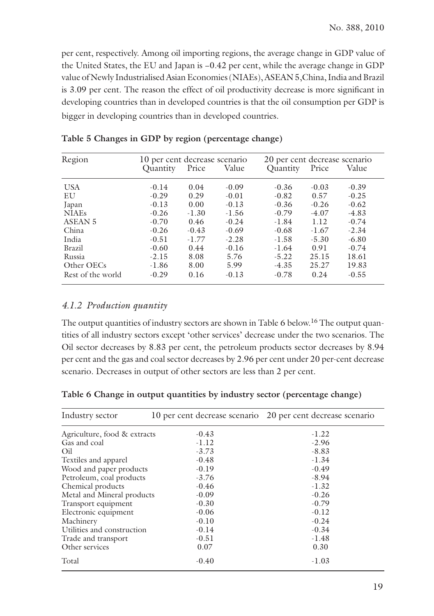per cent, respectively. Among oil importing regions, the average change in GDP value of the United States, the EU and Japan is −0.42 per cent, while the average change in GDP value of Newly Industrialised Asian Economies (NIAEs), ASEAN 5,China, India and Brazil is 3.09 per cent. The reason the effect of oil productivity decrease is more significant in developing countries than in developed countries is that the oil consumption per GDP is bigger in developing countries than in developed countries.

| Region            | 10 per cent decrease scenario |         |         | 20 per cent decrease scenario |         |         |
|-------------------|-------------------------------|---------|---------|-------------------------------|---------|---------|
|                   | Quantity                      | Price   | Value   | Quantity Price                |         | Value   |
| <b>USA</b>        | $-0.14$                       | 0.04    | $-0.09$ | $-0.36$                       | $-0.03$ | $-0.39$ |
| EU                | $-0.29$                       | 0.29    | $-0.01$ | $-0.82$                       | 0.57    | $-0.25$ |
| Japan             | $-0.13$                       | 0.00    | $-0.13$ | $-0.36$                       | $-0.26$ | $-0.62$ |
| <b>NIAEs</b>      | $-0.26$                       | $-1.30$ | $-1.56$ | $-0.79$                       | $-4.07$ | $-4.83$ |
| <b>ASEAN 5</b>    | $-0.70$                       | 0.46    | $-0.24$ | $-1.84$                       | 1.12    | $-0.74$ |
| China             | $-0.26$                       | $-0.43$ | $-0.69$ | $-0.68$                       | $-1.67$ | $-2.34$ |
| India             | $-0.51$                       | $-1.77$ | $-2.28$ | $-1.58$                       | $-5.30$ | $-6.80$ |
| Brazil            | $-0.60$                       | 0.44    | $-0.16$ | $-1.64$                       | 0.91    | $-0.74$ |
| Russia            | $-2.15$                       | 8.08    | 5.76    | $-5.22$                       | 25.15   | 18.61   |
| Other OECs        | $-1.86$                       | 8.00    | 5.99    | $-4.35$                       | 25.27   | 19.83   |
| Rest of the world | $-0.29$                       | 0.16    | $-0.13$ | $-0.78$                       | 0.24    | $-0.55$ |

**Table 5 Changes in GDP by region (percentage change)**

#### *4.1.2 Production quantity*

The output quantities of industry sectors are shown in Table 6 below.<sup>16</sup> The output quantities of all industry sectors except 'other services' decrease under the two scenarios. The Oil sector decreases by 8.83 per cent, the petroleum products sector decreases by 8.94 per cent and the gas and coal sector decreases by 2.96 per cent under 20 per-cent decrease scenario. Decreases in output of other sectors are less than 2 per cent.

| Industry sector              |         | 10 per cent decrease scenario 20 per cent decrease scenario |
|------------------------------|---------|-------------------------------------------------------------|
| Agriculture, food & extracts | $-0.43$ | $-1.22$                                                     |
| Gas and coal                 | $-1.12$ | $-2.96$                                                     |
| Oil                          | $-3.73$ | $-8.83$                                                     |
| Textiles and apparel         | $-0.48$ | $-1.34$                                                     |
| Wood and paper products      | $-0.19$ | $-0.49$                                                     |
| Petroleum, coal products     | $-3.76$ | $-8.94$                                                     |
| Chemical products            | $-0.46$ | $-1.32$                                                     |
| Metal and Mineral products   | $-0.09$ | $-0.26$                                                     |
| Transport equipment          | $-0.30$ | $-0.79$                                                     |
| Electronic equipment         | $-0.06$ | $-0.12$                                                     |
| Machinery                    | $-0.10$ | $-0.24$                                                     |
| Utilities and construction   | $-0.14$ | $-0.34$                                                     |
| Trade and transport          | $-0.51$ | $-1.48$                                                     |
| Other services               | 0.07    | 0.30                                                        |
| Total                        | $-0.40$ | $-1.03$                                                     |

**Table 6 Change in output quantities by industry sector (percentage change)**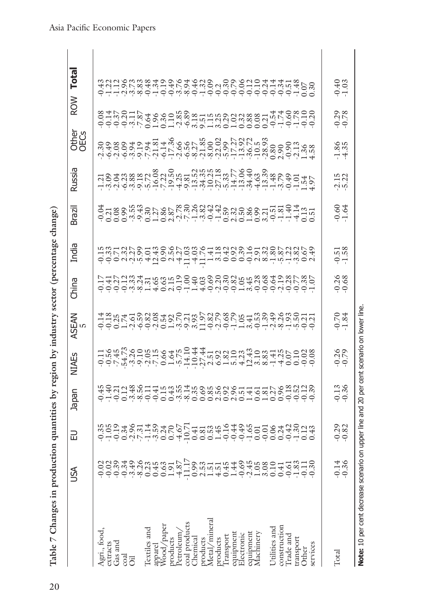|                                                                          | ž<br>n N' |
|--------------------------------------------------------------------------|-----------|
|                                                                          | Other     |
|                                                                          | Russia    |
|                                                                          | Brazil    |
|                                                                          | India     |
|                                                                          | China     |
|                                                                          | ASEAN     |
|                                                                          | NIAEs     |
|                                                                          | Japan     |
|                                                                          | 긊         |
| n production quantities by region by industry sector (percentage change) | USA       |
| Table                                                                    |           |

|                                            | <b>ASU</b>                                                            | 己           | Japan                                                                                                                                            | <b>NIAEs</b>                                                                                            | ASEAN<br>5                                                                                                | China                                                                                       | India                         | Brazil         | Russia | <b>DHELS</b><br>DECS | <b>ROW</b> | Tota                                                                  |
|--------------------------------------------|-----------------------------------------------------------------------|-------------|--------------------------------------------------------------------------------------------------------------------------------------------------|---------------------------------------------------------------------------------------------------------|-----------------------------------------------------------------------------------------------------------|---------------------------------------------------------------------------------------------|-------------------------------|----------------|--------|----------------------|------------|-----------------------------------------------------------------------|
| Agri., food,<br>extracts                   | $-0.02$                                                               |             | ゚゚゚゠゚゚゚゚゠゙゠゙゠゙ゕ゚゠゚゠゠゠゙ゕ゚ヸ゚ヸゕ゚゚゚゚゚゚ゔ゚゠゚゠゠゠゠゠゠゠゠゠゠゠゠<br>゚ヸ゚゚゚゠゚ヸヹヸゟヸヸヸヸゖ゚ヸゕ゚ゔ゚゠゚゠゠゠゠゠゠゠゠゠゠゠゠゠゠゠<br>゚ヸヸヹヿヸ゚ゕ゚ヹヸヸヸヸ゚ゖ゚ヸゕ゚゚ゔゕ゚ゟゔゟヹヸヹ <i>ヹヷ</i> ゟ゚ヸゖ゙ヷ | ヿ゙ゟ゙ヸ゚゚ゕ゚ゟヿゟヿ゚ゟヹゟヹヿヸヸヹヹゟヹヿ゚ヸ゚ヿゕ゚ヸヸゟヿヷ゚<br>ヿ゙ゖ゙ヸ゚ゖ゚ゖ゙ヿ゚ヷゖゟゟゟゖヿヸヺゖゟヹゟヹヿ゚ヸ゚ヿゔヸヸゟゟヿヷ゚<br>ヿ゙ゟヸ゚ゟ゚ゟヿゖゖゟヸゟヿヸヸヸ | ヰヰゖヸゖゔヹゔヸヷヷヹ゙ゔゔヹヷゟゟヷヸゖ゚ゖ゙ゕ゚ヸゖ゚ゖゖ<br>ヿ゙ヸゖヸヹゕ゙ゔヹヹヷヷヹヷヷヷゟゔヷゟゟヸゖ゚ゕ゚ヸゖ゚ゖヸヿ<br>ヸヸゖヸヷゔヺゔヸヷヷヹゔゔ゙ゔゔゔゔゔヷヸゖ゚ゔヸ゚ゖ゚ヷゖヿ | ヮ゙゙゙゙゙゙゙゙゙゙ヮ゙゠゙ゕ゙ゕ゙ヿヰヮゖゟヿヺヿ゚ヸゖゟゖゔゟゖ゚゚ゔヷゖゟゟゟヿヿ<br>ヷヸヷヷ゙゙ゕ゚ヸヸ゚゚゚ゔヹヺゔ゚ゔ゚ヹゟ゚ゟ゙ゖ゚ゕ゚ゟゕ゚ゟゟゟゟゟゟゟゟゟゟ | cooudradou4H4Huwoooowwhriteou |                |        |                      |            | Giliúnsellectusellecececececelle<br>Adioxistations Actions<br>Control |
| $\rm Gas$ and                              | $-0.39$                                                               |             |                                                                                                                                                  |                                                                                                         |                                                                                                           |                                                                                             |                               |                |        |                      |            |                                                                       |
| ತೆ                                         | $-3.34$<br>$-3.36$                                                    |             |                                                                                                                                                  |                                                                                                         |                                                                                                           |                                                                                             |                               |                |        |                      |            |                                                                       |
|                                            |                                                                       |             |                                                                                                                                                  |                                                                                                         |                                                                                                           |                                                                                             |                               |                |        |                      |            |                                                                       |
|                                            |                                                                       |             |                                                                                                                                                  |                                                                                                         |                                                                                                           |                                                                                             |                               |                |        |                      |            |                                                                       |
| Textiles and                               | $0.463$<br>$0.05$<br>$0.05$                                           |             |                                                                                                                                                  |                                                                                                         |                                                                                                           |                                                                                             |                               |                |        |                      |            |                                                                       |
| aparel<br>Wood/paper                       |                                                                       |             |                                                                                                                                                  |                                                                                                         |                                                                                                           |                                                                                             |                               |                |        |                      |            |                                                                       |
|                                            |                                                                       |             |                                                                                                                                                  |                                                                                                         |                                                                                                           |                                                                                             |                               |                |        |                      |            |                                                                       |
| products                                   |                                                                       |             |                                                                                                                                                  |                                                                                                         |                                                                                                           |                                                                                             |                               |                |        |                      |            |                                                                       |
| Petroleum                                  | $-4.87$                                                               |             |                                                                                                                                                  |                                                                                                         |                                                                                                           |                                                                                             |                               |                |        |                      |            |                                                                       |
| coal products                              | $-11.17$                                                              |             |                                                                                                                                                  |                                                                                                         |                                                                                                           |                                                                                             |                               |                |        |                      |            |                                                                       |
| Chemical                                   |                                                                       |             |                                                                                                                                                  |                                                                                                         |                                                                                                           |                                                                                             |                               |                |        |                      |            |                                                                       |
| products                                   |                                                                       |             |                                                                                                                                                  |                                                                                                         |                                                                                                           |                                                                                             |                               |                |        |                      |            |                                                                       |
| Metal/mineral                              | $\frac{8}{3}$ $\frac{6}{3}$ $\frac{1}{3}$ $\frac{1}{4}$ $\frac{4}{9}$ |             |                                                                                                                                                  |                                                                                                         |                                                                                                           |                                                                                             |                               |                |        |                      |            |                                                                       |
| products                                   |                                                                       |             |                                                                                                                                                  |                                                                                                         |                                                                                                           |                                                                                             |                               |                |        |                      |            |                                                                       |
| Transport                                  |                                                                       |             |                                                                                                                                                  |                                                                                                         |                                                                                                           |                                                                                             |                               |                |        |                      |            |                                                                       |
| equipment                                  | 1.44                                                                  |             |                                                                                                                                                  |                                                                                                         |                                                                                                           |                                                                                             |                               |                |        |                      |            |                                                                       |
| Electronic                                 | $-0.69$                                                               |             |                                                                                                                                                  |                                                                                                         |                                                                                                           |                                                                                             |                               |                |        |                      |            |                                                                       |
| equipment                                  |                                                                       |             |                                                                                                                                                  |                                                                                                         |                                                                                                           |                                                                                             |                               |                |        |                      |            |                                                                       |
| Machinery                                  |                                                                       |             |                                                                                                                                                  |                                                                                                         |                                                                                                           |                                                                                             |                               |                |        |                      |            |                                                                       |
|                                            | $-2.45$<br>$1.05$<br>$3.08$<br>$0.10$                                 |             |                                                                                                                                                  |                                                                                                         |                                                                                                           |                                                                                             |                               |                |        |                      |            |                                                                       |
| Utilities and                              |                                                                       |             |                                                                                                                                                  |                                                                                                         |                                                                                                           |                                                                                             |                               |                |        |                      |            |                                                                       |
| construction                               | 0.41                                                                  |             |                                                                                                                                                  |                                                                                                         |                                                                                                           |                                                                                             |                               |                |        |                      |            |                                                                       |
| Trade and                                  |                                                                       |             |                                                                                                                                                  |                                                                                                         |                                                                                                           |                                                                                             |                               |                |        |                      |            |                                                                       |
| transport                                  | $-0.61$                                                               |             |                                                                                                                                                  |                                                                                                         |                                                                                                           |                                                                                             |                               |                |        |                      |            |                                                                       |
| <b>Other</b>                               | $-0.11$                                                               |             |                                                                                                                                                  |                                                                                                         |                                                                                                           |                                                                                             |                               |                |        |                      |            |                                                                       |
| services                                   | $\ddot{\mathcal{S}}$                                                  |             |                                                                                                                                                  |                                                                                                         |                                                                                                           |                                                                                             |                               |                |        |                      |            |                                                                       |
|                                            |                                                                       |             |                                                                                                                                                  |                                                                                                         |                                                                                                           |                                                                                             |                               |                |        |                      |            |                                                                       |
| Total                                      | $-0.14$                                                               |             |                                                                                                                                                  |                                                                                                         |                                                                                                           |                                                                                             |                               |                |        |                      |            |                                                                       |
|                                            | 0.36                                                                  | $-0.32$     | 0.13                                                                                                                                             | 0.79                                                                                                    | $-1.84$                                                                                                   | 0.26                                                                                        | $-0.51$<br>$-1.58$            | $0.60$<br>1.64 | 2.15   | $1.86$<br>$4.35$     | 0.78       | $0.40$<br>0.403                                                       |
| Note: 10 per cent decrease scenario on upp |                                                                       | er line and |                                                                                                                                                  | 20 per cent scenario on lower line                                                                      |                                                                                                           |                                                                                             |                               |                |        |                      |            |                                                                       |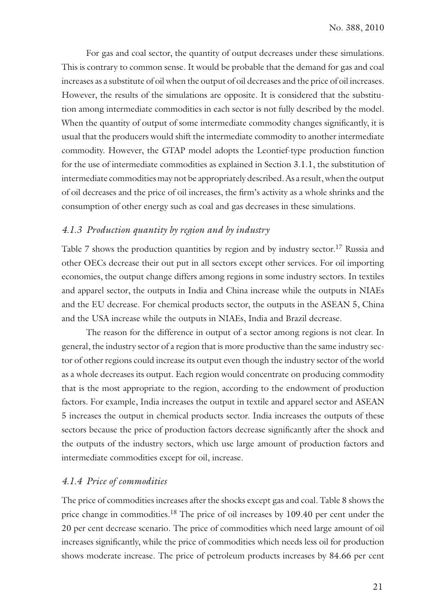For gas and coal sector, the quantity of output decreases under these simulations. This is contrary to common sense. It would be probable that the demand for gas and coal increases as a substitute of oil when the output of oil decreases and the price of oil increases. However, the results of the simulations are opposite. It is considered that the substitution among intermediate commodities in each sector is not fully described by the model. When the quantity of output of some intermediate commodity changes significantly, it is usual that the producers would shift the intermediate commodity to another intermediate commodity. However, the GTAP model adopts the Leontief-type production function for the use of intermediate commodities as explained in Section 3.1.1, the substitution of intermediate commodities may not be appropriately described. As a result, when the output of oil decreases and the price of oil increases, the firm's activity as a whole shrinks and the consumption of other energy such as coal and gas decreases in these simulations.

#### *4.1.3 Production quantity by region and by industry*

Table 7 shows the production quantities by region and by industry sector.<sup>17</sup> Russia and other OECs decrease their out put in all sectors except other services. For oil importing economies, the output change differs among regions in some industry sectors. In textiles and apparel sector, the outputs in India and China increase while the outputs in NIAEs and the EU decrease. For chemical products sector, the outputs in the ASEAN 5, China and the USA increase while the outputs in NIAEs, India and Brazil decrease.

The reason for the difference in output of a sector among regions is not clear. In general, the industry sector of a region that is more productive than the same industry sector of other regions could increase its output even though the industry sector of the world as a whole decreases its output. Each region would concentrate on producing commodity that is the most appropriate to the region, according to the endowment of production factors. For example, India increases the output in textile and apparel sector and ASEAN 5 increases the output in chemical products sector. India increases the outputs of these sectors because the price of production factors decrease significantly after the shock and the outputs of the industry sectors, which use large amount of production factors and intermediate commodities except for oil, increase.

#### *4.1.4 Price of commodities*

The price of commodities increases after the shocks except gas and coal. Table 8 shows the price change in commodities.<sup>18</sup> The price of oil increases by 109.40 per cent under the 20 per cent decrease scenario. The price of commodities which need large amount of oil increases significantly, while the price of commodities which needs less oil for production shows moderate increase. The price of petroleum products increases by 84.66 per cent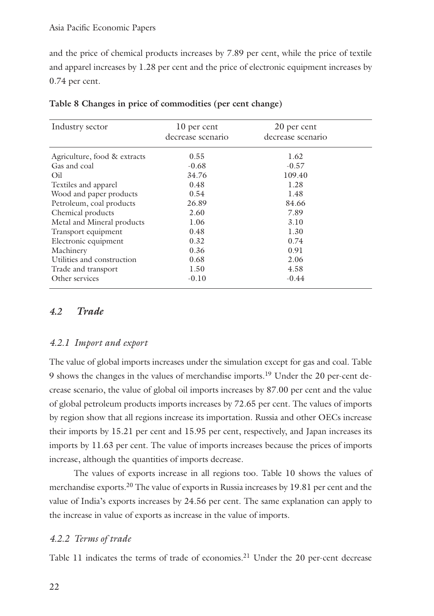and the price of chemical products increases by 7.89 per cent, while the price of textile and apparel increases by 1.28 per cent and the price of electronic equipment increases by 0.74 per cent.

| Industry sector              | 10 per cent       | 20 per cent       |
|------------------------------|-------------------|-------------------|
|                              | decrease scenario | decrease scenario |
| Agriculture, food & extracts | 0.55              | 1.62              |
| Gas and coal                 | $-0.68$           | $-0.57$           |
| Oil                          | 34.76             | 109.40            |
| Textiles and apparel         | 0.48              | 1.28              |
| Wood and paper products      | 0.54              | 1.48              |
| Petroleum, coal products     | 26.89             | 84.66             |
| Chemical products            | 2.60              | 7.89              |
| Metal and Mineral products   | 1.06              | 3.10              |
| Transport equipment          | 0.48              | 1.30              |
| Electronic equipment         | 0.32              | 0.74              |
| Machinery                    | 0.36              | 0.91              |
| Utilities and construction   | 0.68              | 2.06              |
| Trade and transport          | 1.50              | 4.58              |
| Other services               | $-0.10$           | $-0.44$           |

**Table 8 Changes in price of commodities (per cent change)**

## *4.2 Trade*

#### *4.2.1 Import and export*

The value of global imports increases under the simulation except for gas and coal. Table 9 shows the changes in the values of merchandise imports.19 Under the 20 per-cent decrease scenario, the value of global oil imports increases by 87.00 per cent and the value of global petroleum products imports increases by 72.65 per cent. The values of imports by region show that all regions increase its importation. Russia and other OECs increase their imports by 15.21 per cent and 15.95 per cent, respectively, and Japan increases its imports by 11.63 per cent. The value of imports increases because the prices of imports increase, although the quantities of imports decrease.

The values of exports increase in all regions too. Table 10 shows the values of merchandise exports.20 The value of exports in Russia increases by 19.81 per cent and the value of India's exports increases by 24.56 per cent. The same explanation can apply to the increase in value of exports as increase in the value of imports.

#### *4.2.2 Terms of trade*

Table 11 indicates the terms of trade of economies.<sup>21</sup> Under the 20 per-cent decrease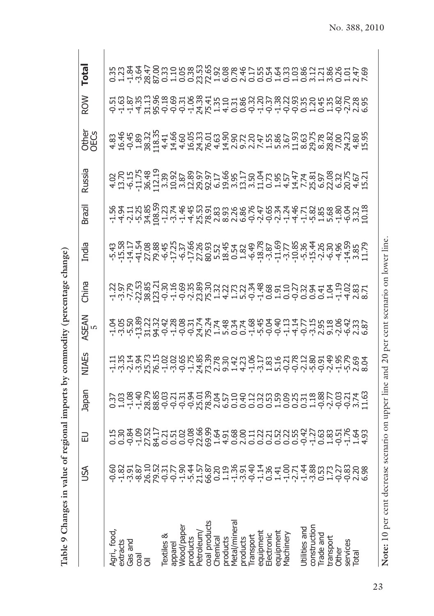|                                                                                                 | <b>ASU</b>                                                    | 긊                                                                        | Japar                           | <b>NIAEs</b> | ASEAN<br>5 | China                                                                         | India | Brazil                                                                     | Russia                                                                                                                                                                                                | <b>DECS</b><br>DECS                                                                                                     | ROW                                                                                   | Tota                                       |
|-------------------------------------------------------------------------------------------------|---------------------------------------------------------------|--------------------------------------------------------------------------|---------------------------------|--------------|------------|-------------------------------------------------------------------------------|-------|----------------------------------------------------------------------------|-------------------------------------------------------------------------------------------------------------------------------------------------------------------------------------------------------|-------------------------------------------------------------------------------------------------------------------------|---------------------------------------------------------------------------------------|--------------------------------------------|
| Agri., food,<br>extracts                                                                        | るよう。あかりっしょうにあります。しょうます。まっしょう。<br>でない。ここではけいかいという。これはないのは、このの。 | codurgeoodが2814000000000000101614<br>HS\$SE:HY20000000000000000000000000 | ᅌᅼᅺᅺᡦᢁᅌᇰᇰᇰᅛᄧᆹᇦᇬᇰᆼᆼᆼᆼᆼᆼᆼᆷᅼᇰᄼᇰᇰᆹᄀ |              |            | ヹゕヹゖ゙ゕ゚ヹゖヹゖゟヹヹヹヸヸヸゖゟヸゟヸゟゟゟヹヸヸヸゖ゙<br>゚ゖ゙ゕ゙ゖ゙ゕ゚ヹゖヹヺゕ゚ゕゕゖ゙ゖゖゖヸ゚゚゚ゕ゚ゖゖヷゖ゚ヸヸゟヺゖ゚ゕゖ |       | ゖ゙゙ヸゖゖ゙゙゙゙ゕ゚ゔゖ゙ヸヸゖゖ゙ヹゕ゚ゖ゚ゟゟゖゖゖヸヸゖゖゖゖゖゖゖ<br>ゖ゙ゕヹゖ゙ゕ゙ゖゖヸゟゖゖ゙ヹゕゟゟゟゖゖゖヸヸゖゖゖゖゖゖ | d R ri R ri 8 d r d 8 g b b r g 8 m r d d 4 r k 8 g 8 g 8 g 7<br>d R ri R 3 d 3 g 8 g b b r g 8 m d 9 g 6 m e 4 r R 9 g 8 g 7 g 9<br>d R ri R 3 d 9 g 9 g 9 b 7 g 8 m d 9 g 7 g 7 g 7 g 8 g 8 g 7 g 7 | ィ゙゙ゖ゙゠゙ヸヹ゠ヸヸヸヸヹゟヸヹヾ゠゠゙゠゠゙ヹゕ゚ヹゟヹゖヹ゠ヷ<br>゚゚゚゚゚゚ゕゖ゙ゕ゙ゖヸゟ゚ゟゖゖ゙゙ヹゖゔゖヷゟヸゖ゚ゟゖゖゟゖゟゖ゚ゟゖ゚ゟゖ<br>゚ゕゖ゙ゖゟゖゖ゚ヸゟゟゖゖ゙ヹゖゟゖゟゖゖゟゖゖゟゖ゚ゟゖ゚ゟゖ゚ | ヮ゙゙゙゙゙ਜ਼ヹヹヹヹゟヷゟヹヹヹヹゟヷゖゟヸゟヸゖヹヷゕゖゖ<br>ヹ゙゙゙゚゚ヹゕ゙ゖゖ゙ゕヹゟヹゟゖヹゟゖヸゖヹヹゟゖゖゖゖゖゖゖゖゖゖゖゖゖゖゖゖゖゖゖゖゖゖゖ | singer subsection and consideration of the |
|                                                                                                 |                                                               |                                                                          |                                 |              |            |                                                                               |       |                                                                            |                                                                                                                                                                                                       |                                                                                                                         |                                                                                       |                                            |
| Gas and                                                                                         |                                                               |                                                                          |                                 |              |            |                                                                               |       |                                                                            |                                                                                                                                                                                                       |                                                                                                                         |                                                                                       |                                            |
| ខីក                                                                                             |                                                               |                                                                          |                                 |              |            |                                                                               |       |                                                                            |                                                                                                                                                                                                       |                                                                                                                         |                                                                                       |                                            |
|                                                                                                 |                                                               |                                                                          |                                 |              |            |                                                                               |       |                                                                            |                                                                                                                                                                                                       |                                                                                                                         |                                                                                       |                                            |
|                                                                                                 |                                                               |                                                                          |                                 |              |            |                                                                               |       |                                                                            |                                                                                                                                                                                                       |                                                                                                                         |                                                                                       |                                            |
|                                                                                                 |                                                               |                                                                          |                                 |              |            |                                                                               |       |                                                                            |                                                                                                                                                                                                       |                                                                                                                         |                                                                                       |                                            |
|                                                                                                 |                                                               |                                                                          |                                 |              |            |                                                                               |       |                                                                            |                                                                                                                                                                                                       |                                                                                                                         |                                                                                       |                                            |
|                                                                                                 |                                                               |                                                                          |                                 |              |            |                                                                               |       |                                                                            |                                                                                                                                                                                                       |                                                                                                                         |                                                                                       |                                            |
|                                                                                                 |                                                               |                                                                          |                                 |              |            |                                                                               |       |                                                                            |                                                                                                                                                                                                       |                                                                                                                         |                                                                                       |                                            |
|                                                                                                 |                                                               |                                                                          |                                 |              |            |                                                                               |       |                                                                            |                                                                                                                                                                                                       |                                                                                                                         |                                                                                       |                                            |
|                                                                                                 |                                                               |                                                                          |                                 |              |            |                                                                               |       |                                                                            |                                                                                                                                                                                                       |                                                                                                                         |                                                                                       |                                            |
| Textiles &<br>apparel<br>Wood/paper<br>Wood/cts<br>petroleum/<br>coal products<br>coal products |                                                               |                                                                          |                                 |              |            |                                                                               |       |                                                                            |                                                                                                                                                                                                       |                                                                                                                         |                                                                                       |                                            |
|                                                                                                 |                                                               |                                                                          |                                 |              |            |                                                                               |       |                                                                            |                                                                                                                                                                                                       |                                                                                                                         |                                                                                       |                                            |
| products<br>Metal/mineral                                                                       |                                                               |                                                                          |                                 |              |            |                                                                               |       |                                                                            |                                                                                                                                                                                                       |                                                                                                                         |                                                                                       |                                            |
|                                                                                                 |                                                               |                                                                          |                                 |              |            |                                                                               |       |                                                                            |                                                                                                                                                                                                       |                                                                                                                         |                                                                                       |                                            |
| products<br>Transport                                                                           |                                                               |                                                                          |                                 |              |            |                                                                               |       |                                                                            |                                                                                                                                                                                                       |                                                                                                                         |                                                                                       |                                            |
|                                                                                                 |                                                               |                                                                          |                                 |              |            |                                                                               |       |                                                                            |                                                                                                                                                                                                       |                                                                                                                         |                                                                                       |                                            |
| equipment<br>Electronic                                                                         |                                                               |                                                                          |                                 |              |            |                                                                               |       |                                                                            |                                                                                                                                                                                                       |                                                                                                                         |                                                                                       |                                            |
| equipment<br>Machinery                                                                          |                                                               |                                                                          |                                 |              |            |                                                                               |       |                                                                            |                                                                                                                                                                                                       |                                                                                                                         |                                                                                       |                                            |
|                                                                                                 |                                                               |                                                                          |                                 |              |            |                                                                               |       |                                                                            |                                                                                                                                                                                                       |                                                                                                                         |                                                                                       |                                            |
|                                                                                                 |                                                               |                                                                          |                                 |              |            |                                                                               |       |                                                                            |                                                                                                                                                                                                       |                                                                                                                         |                                                                                       |                                            |
| Jtilities and                                                                                   |                                                               |                                                                          |                                 |              |            |                                                                               |       |                                                                            |                                                                                                                                                                                                       |                                                                                                                         |                                                                                       |                                            |
| construction<br>Trade and<br>transport                                                          |                                                               |                                                                          |                                 |              |            |                                                                               |       |                                                                            |                                                                                                                                                                                                       |                                                                                                                         |                                                                                       |                                            |
|                                                                                                 |                                                               |                                                                          |                                 |              |            |                                                                               |       |                                                                            |                                                                                                                                                                                                       |                                                                                                                         |                                                                                       |                                            |
|                                                                                                 |                                                               |                                                                          |                                 |              |            |                                                                               |       |                                                                            |                                                                                                                                                                                                       |                                                                                                                         |                                                                                       |                                            |
| Other                                                                                           |                                                               |                                                                          |                                 |              |            |                                                                               |       |                                                                            |                                                                                                                                                                                                       |                                                                                                                         |                                                                                       |                                            |
|                                                                                                 |                                                               |                                                                          |                                 |              |            |                                                                               |       |                                                                            |                                                                                                                                                                                                       |                                                                                                                         |                                                                                       |                                            |
| services<br>Total                                                                               |                                                               |                                                                          |                                 |              |            |                                                                               |       |                                                                            |                                                                                                                                                                                                       |                                                                                                                         |                                                                                       |                                            |
|                                                                                                 |                                                               |                                                                          |                                 |              |            |                                                                               |       |                                                                            |                                                                                                                                                                                                       |                                                                                                                         |                                                                                       |                                            |
|                                                                                                 |                                                               |                                                                          |                                 |              |            |                                                                               |       |                                                                            |                                                                                                                                                                                                       |                                                                                                                         |                                                                                       |                                            |

Table 9 Changes in value of regional imports by commodity (percentage change) **Table 9 Changes in value of regional imports by commodity (percentage change)**

Note: 10 per cent decrease scenario on upper line and 20 per cent scenario on lower line. **Note:** 10 per cent decrease scenario on upper line and 20 per cent scenario on lower line.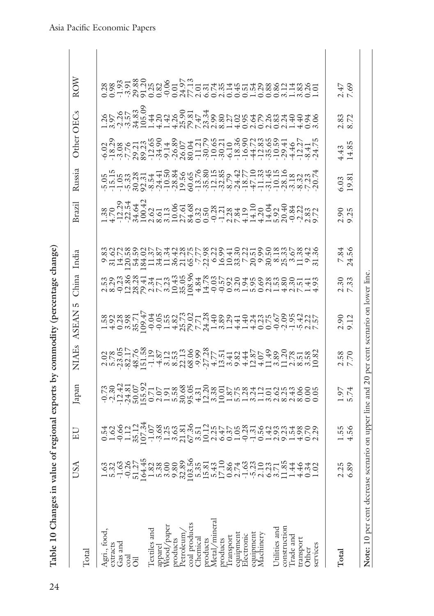| able 10 Changes in value of regional exports by commodity (percentage chang |
|-----------------------------------------------------------------------------|
|                                                                             |
|                                                                             |
|                                                                             |
|                                                                             |
|                                                                             |
|                                                                             |
|                                                                             |
|                                                                             |
|                                                                             |
|                                                                             |
| てく アーマイ                                                                     |

| Table 10 Changes in value of regional exports by commodity (percentage change)              |                                                                                                                                                                                                                                                                                                                                                  |                |                                                                                                                                                                                                                                                                                                                                                                                                     |                                                                  |                                                    |                           |                                                                                            |        |               |                                                                           |              |              |  |
|---------------------------------------------------------------------------------------------|--------------------------------------------------------------------------------------------------------------------------------------------------------------------------------------------------------------------------------------------------------------------------------------------------------------------------------------------------|----------------|-----------------------------------------------------------------------------------------------------------------------------------------------------------------------------------------------------------------------------------------------------------------------------------------------------------------------------------------------------------------------------------------------------|------------------------------------------------------------------|----------------------------------------------------|---------------------------|--------------------------------------------------------------------------------------------|--------|---------------|---------------------------------------------------------------------------|--------------|--------------|--|
| $\rm Total$                                                                                 | <b>USA</b>                                                                                                                                                                                                                                                                                                                                       | щ              | Japan                                                                                                                                                                                                                                                                                                                                                                                               | <b>NIAEs</b>                                                     | LO<br><b>ASEAN</b>                                 | China India               |                                                                                            | Brazil | Russia        | Other OECs                                                                |              | ROW          |  |
| Agri., food,<br>$Gas$ and<br>extracts<br>coal<br>öil                                        | $-1.63$<br>$-0.26$<br>51.27<br>$1.63$<br>5.32                                                                                                                                                                                                                                                                                                    |                |                                                                                                                                                                                                                                                                                                                                                                                                     |                                                                  |                                                    |                           |                                                                                            |        |               |                                                                           |              |              |  |
| Wood/paper<br>Textiles and<br>products<br>apparel                                           | 164.45                                                                                                                                                                                                                                                                                                                                           |                |                                                                                                                                                                                                                                                                                                                                                                                                     |                                                                  |                                                    |                           |                                                                                            |        |               |                                                                           |              |              |  |
| coal products<br>Petroleum<br>Chemical<br>products                                          | $\begin{array}{l} 1.83 \\ -1.08 \\ -1.09 \\ -1.09 \\ -1.09 \\ -1.09 \\ -1.09 \\ -1.09 \\ -1.09 \\ -1.09 \\ -1.09 \\ -1.09 \\ -1.09 \\ -1.09 \\ -1.09 \\ -1.09 \\ -1.09 \\ -1.09 \\ -1.09 \\ -1.09 \\ -1.09 \\ -1.09 \\ -1.09 \\ -1.09 \\ -1.09 \\ -1.09 \\ -1.09 \\ -1.09 \\ -1.09 \\ -1.09 \\ -1.09 \\ -1.09 \\ -1.09 \\ -1.09 \\ -1.09 \\ -1.$ |                |                                                                                                                                                                                                                                                                                                                                                                                                     |                                                                  |                                                    |                           |                                                                                            |        |               |                                                                           |              |              |  |
| Metal/mineral<br>equipment<br>equipment<br>Machinery<br>Electronic<br>Transport<br>products | 17.10<br>$0.36$<br>$2.74$<br>$0.73$<br>$0.73$<br>$0.10$                                                                                                                                                                                                                                                                                          |                | $\begin{array}{lllllllllllllll} \frac{1}{2}&\frac{1}{2}&\frac{1}{2}&\frac{1}{2}&\frac{1}{2}&\frac{1}{2}&\frac{1}{2}&\frac{1}{2}&\frac{1}{2}&\frac{1}{2}&\frac{1}{2}&\frac{1}{2}&\frac{1}{2}&\frac{1}{2}&\frac{1}{2}&\frac{1}{2}&\frac{1}{2}&\frac{1}{2}&\frac{1}{2}&\frac{1}{2}&\frac{1}{2}&\frac{1}{2}&\frac{1}{2}&\frac{1}{2}&\frac{1}{2}&\frac{1}{2}&\frac{1}{2}&\frac{1}{2}&\frac{1}{2}&\frac{$ | 2x5152%以下は3%以下は4%4%の4%以下5%。2x515%以上には3%2x5%以下5%4%以下5%4%以下5%2x5%。 |                                                    |                           | s dras dh'e radar ha ghàinn agus an caidh.<br>Sa dh'an dh'e radar an chaidh an chaidh an c |        |               | <u>るようでののようでんのけいようよよよよよよよよよからのののですがあるのは、そのようなのは、そのようでも、そのようなようなようなよう。</u> |              |              |  |
| construction<br>Utilities and<br>Trade and<br>transport<br>services<br>Other                | $3.71$<br>11.85<br>6.23<br>1.44<br>$4.34$<br>$0.34$<br>$1.02$                                                                                                                                                                                                                                                                                    |                |                                                                                                                                                                                                                                                                                                                                                                                                     |                                                                  |                                                    |                           |                                                                                            |        |               |                                                                           |              |              |  |
| Total                                                                                       | 2.25<br>6.89                                                                                                                                                                                                                                                                                                                                     | $1.55$<br>4.56 | $1.97$<br>5.74                                                                                                                                                                                                                                                                                                                                                                                      | $2.58$<br>7.70                                                   | 2.90                                               | $7.\overline{3}0$<br>7.33 | 7.84<br>24.56                                                                              | 2.90   | 6.03<br>19.81 | $4.43$<br>14.85                                                           | 2.83<br>8.72 | 2.47<br>7.69 |  |
| Note: 10 per cent decrease scenario on                                                      |                                                                                                                                                                                                                                                                                                                                                  |                |                                                                                                                                                                                                                                                                                                                                                                                                     |                                                                  | upper line and 20 per cent scenario on lower line. |                           |                                                                                            |        |               |                                                                           |              |              |  |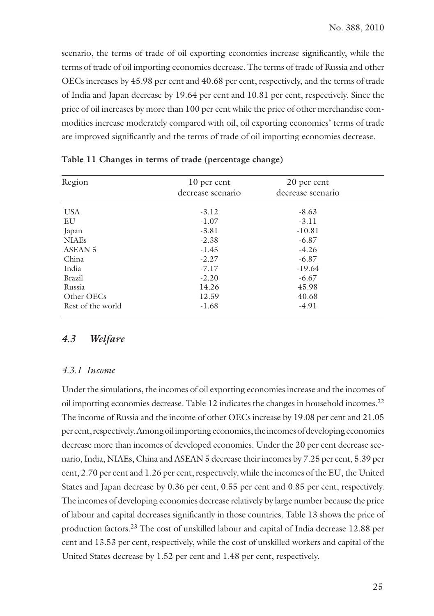scenario, the terms of trade of oil exporting economies increase significantly, while the terms of trade of oil importing economies decrease. The terms of trade of Russia and other OECs increases by 45.98 per cent and 40.68 per cent, respectively, and the terms of trade of India and Japan decrease by 19.64 per cent and 10.81 per cent, respectively. Since the price of oil increases by more than 100 per cent while the price of other merchandise commodities increase moderately compared with oil, oil exporting economies' terms of trade are improved significantly and the terms of trade of oil importing economies decrease.

| Region            | 10 per cent       | 20 per cent       |  |
|-------------------|-------------------|-------------------|--|
|                   | decrease scenario | decrease scenario |  |
| <b>USA</b>        | $-3.12$           | $-8.63$           |  |
| EU                | $-1.07$           | $-3.11$           |  |
| Japan             | $-3.81$           | $-10.81$          |  |
| <b>NIAEs</b>      | $-2.38$           | $-6.87$           |  |
| <b>ASEAN 5</b>    | $-1.45$           | $-4.26$           |  |
| China             | $-2.27$           | $-6.87$           |  |
| India             | $-7.17$           | $-19.64$          |  |
| <b>Brazil</b>     | $-2.20$           | $-6.67$           |  |
| Russia            | 14.26             | 45.98             |  |
| Other OECs        | 12.59             | 40.68             |  |
| Rest of the world | $-1.68$           | $-4.91$           |  |

**Table 11 Changes in terms of trade (percentage change)**

### *4.3 Welfare*

#### *4.3.1 Income*

Under the simulations, the incomes of oil exporting economies increase and the incomes of oil importing economies decrease. Table 12 indicates the changes in household incomes.22 The income of Russia and the income of other OECs increase by 19.08 per cent and 21.05 per cent, respectively. Among oil importing economies, the incomes of developing economies decrease more than incomes of developed economies. Under the 20 per cent decrease scenario, India, NIAEs, China and ASEAN 5 decrease their incomes by 7.25 per cent, 5.39 per cent, 2.70 per cent and 1.26 per cent, respectively, while the incomes of the EU, the United States and Japan decrease by 0.36 per cent, 0.55 per cent and 0.85 per cent, respectively. The incomes of developing economies decrease relatively by large number because the price of labour and capital decreases significantly in those countries. Table 13 shows the price of production factors.23 The cost of unskilled labour and capital of India decrease 12.88 per cent and 13.53 per cent, respectively, while the cost of unskilled workers and capital of the United States decrease by 1.52 per cent and 1.48 per cent, respectively.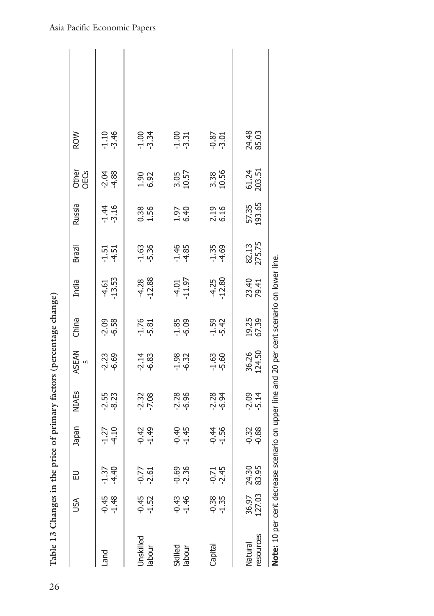| Table 13 Changes in the price of                                                          |                 |                    |                    | primary factors (percentage change) |                    |                    |                     |                                    |                    |                      |                    |
|-------------------------------------------------------------------------------------------|-----------------|--------------------|--------------------|-------------------------------------|--------------------|--------------------|---------------------|------------------------------------|--------------------|----------------------|--------------------|
|                                                                                           | SSU             | 己                  | Japan              | <b>NIAEs</b>                        | ASEAN<br>5         | China              | India               | Brazil                             | Russia             | <b>Other</b><br>OECS | <b>ROW</b>         |
| <b>Land</b>                                                                               | $-1.48$         | $-1.37$<br>$-4.40$ | $-1.27$<br>$-4.10$ | $-2.55$<br>$-8.23$                  | $-2.23$            | 2.09<br>2.58       | $-4.61$<br>$-13.53$ | $\frac{1}{1}$ .51<br>$\frac{1}{1}$ | $-1.44$<br>$-3.16$ | $-2.88$<br>4.88      | $-1.10$<br>$-3.46$ |
| Unskilled<br>labour                                                                       | $-1.52$         | $-2.61$            | $-1.49$            | $-2.32$<br>$-7.08$                  | $-2.14$<br>$-6.83$ | $-1.76$<br>$-5.81$ | $-4.28$<br>$-12.88$ | $-1.63$<br>$-5.36$                 | 0.38<br>1.56       | 1.90<br>6.92         | $-1.00$<br>$-3.34$ |
| Skilled<br>labour                                                                         | $-1.46$         | $-0.69$<br>$-2.36$ | $-1.45$            | $-2.28$<br>$-6.96$                  | $-1.98$<br>$-6.32$ | $-1.85$<br>$-6.09$ | $-4.01$<br>$-11.97$ | $-1.46$<br>$-4.85$                 | $1.97$<br>6.40     | $3.05$<br>$10.57$    | $-1.00$<br>$-3.31$ |
| Capital                                                                                   | $-1.38$         | $-2.45$            | $-1.56$            | $-2.28$<br>$-6.94$                  | $-1.63$<br>$-5.60$ | $-1.59$<br>$-5.42$ | $-4.25$<br>$-12.80$ | $-1.35$<br>$-4.69$                 | 2.19<br>6.16       | 3.38<br>10.56        | $-0.87$            |
| resources<br>Natural                                                                      | 36.97<br>127.03 | 24.30<br>83.95     | $-0.32$<br>$-0.88$ | $-2.09$<br>$-5.14$                  | 36.26<br>124.50    | 19.25<br>67.39     | 23.40<br>79.41      | 82.13<br>275.75                    | 57.35<br>193.65    | 61.24                | 24.48<br>85.03     |
| Note: 10 per cent decrease scenario on upper line and 20 per cent scenario on lower line. |                 |                    |                    |                                     |                    |                    |                     |                                    |                    |                      |                    |

Asia Pacific Economic Papers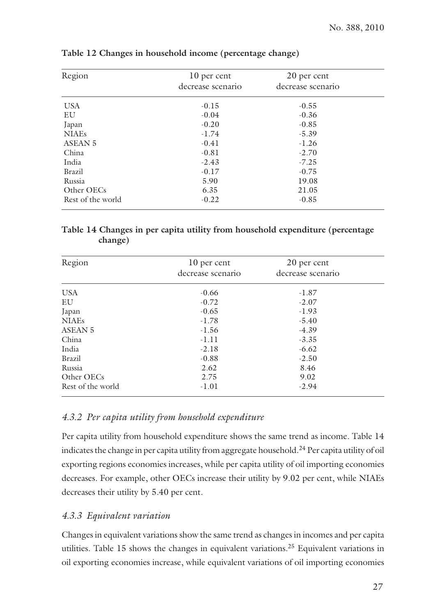| Region            | 10 per cent       | 20 per cent       |
|-------------------|-------------------|-------------------|
|                   | decrease scenario | decrease scenario |
| <b>USA</b>        | $-0.15$           | $-0.55$           |
| EU                | $-0.04$           | $-0.36$           |
| Japan             | $-0.20$           | $-0.85$           |
| <b>NIAEs</b>      | $-1.74$           | $-5.39$           |
| <b>ASEAN 5</b>    | $-0.41$           | $-1.26$           |
| China             | $-0.81$           | $-2.70$           |
| India             | $-2.43$           | $-7.25$           |
| <b>Brazil</b>     | $-0.17$           | $-0.75$           |
| Russia            | 5.90              | 19.08             |
| Other OECs        | 6.35              | 21.05             |
| Rest of the world | $-0.22$           | $-0.85$           |

**Table 12 Changes in household income (percentage change)**

|  |         |  |  |  | Table 14 Changes in per capita utility from household expenditure (percentage |  |
|--|---------|--|--|--|-------------------------------------------------------------------------------|--|
|  | change) |  |  |  |                                                                               |  |

| Region             | 10 per cent       | 20 per cent       |
|--------------------|-------------------|-------------------|
|                    | decrease scenario | decrease scenario |
| <b>USA</b>         | $-0.66$           | $-1.87$           |
| EU                 | $-0.72$           | $-2.07$           |
| Japan              | $-0.65$           | $-1.93$           |
| <b>NIAEs</b>       | $-1.78$           | $-5.40$           |
| ASEAN <sub>5</sub> | $-1.56$           | $-4.39$           |
| China              | $-1.11$           | $-3.35$           |
| India              | $-2.18$           | $-6.62$           |
| Brazil             | $-0.88$           | $-2.50$           |
| Russia             | 2.62              | 8.46              |
| Other OECs         | 2.75              | 9.02              |
| Rest of the world  | $-1.01$           | $-2.94$           |

## *4.3.2 Per capita utility from household expenditure*

Per capita utility from household expenditure shows the same trend as income. Table 14 indicates the change in per capita utility from aggregate household.<sup>24</sup> Per capita utility of oil exporting regions economies increases, while per capita utility of oil importing economies decreases. For example, other OECs increase their utility by 9.02 per cent, while NIAEs decreases their utility by 5.40 per cent.

## *4.3.3 Equivalent variation*

Changes in equivalent variations show the same trend as changes in incomes and per capita utilities. Table 15 shows the changes in equivalent variations.25 Equivalent variations in oil exporting economies increase, while equivalent variations of oil importing economies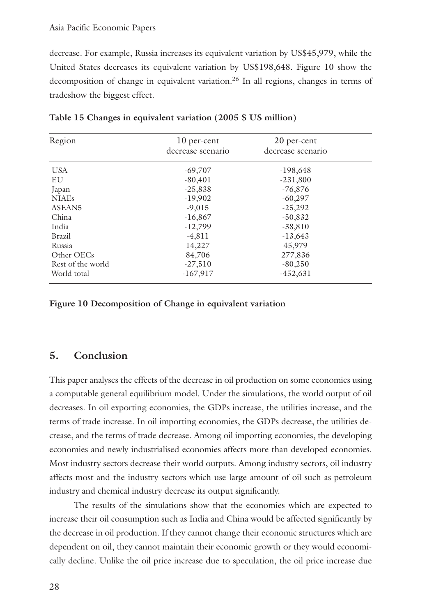decrease. For example, Russia increases its equivalent variation by US\$45,979, while the United States decreases its equivalent variation by US\$198,648. Figure 10 show the decomposition of change in equivalent variation.26 In all regions, changes in terms of tradeshow the biggest effect.

| decrease scenario<br>decrease scenario<br><b>USA</b><br>$-69,707$<br>$-198,648$<br>$-80,401$<br>$-231,800$<br>$-25,838$<br>$-76,876$<br>Japan | 20 per-cent |
|-----------------------------------------------------------------------------------------------------------------------------------------------|-------------|
|                                                                                                                                               |             |
|                                                                                                                                               |             |
|                                                                                                                                               |             |
|                                                                                                                                               |             |
| $-19,902$<br>$-60,297$<br><b>NIAEs</b>                                                                                                        |             |
| ASEAN <sub>5</sub><br>$-9,015$<br>$-25,292$                                                                                                   |             |
| China<br>$-16,867$<br>$-50,832$                                                                                                               |             |
| $-12,799$<br>India<br>$-38,810$                                                                                                               |             |
| $-4,811$<br><b>Brazil</b><br>$-13,643$                                                                                                        |             |
| 45,979<br>Russia<br>14,227                                                                                                                    |             |
| Other OECs<br>84,706<br>277,836                                                                                                               |             |
| Rest of the world<br>$-27,510$<br>$-80,250$                                                                                                   |             |
| $-452,631$<br>World total<br>$-167,917$                                                                                                       |             |

| Table 15 Changes in equivalent variation (2005 \$ US million) |  |
|---------------------------------------------------------------|--|
|---------------------------------------------------------------|--|

#### **Figure 10 Decomposition of Change in equivalent variation**

# **5. Conclusion**

This paper analyses the effects of the decrease in oil production on some economies using a computable general equilibrium model. Under the simulations, the world output of oil decreases. In oil exporting economies, the GDPs increase, the utilities increase, and the terms of trade increase. In oil importing economies, the GDPs decrease, the utilities decrease, and the terms of trade decrease. Among oil importing economies, the developing economies and newly industrialised economies affects more than developed economies. Most industry sectors decrease their world outputs. Among industry sectors, oil industry affects most and the industry sectors which use large amount of oil such as petroleum industry and chemical industry decrease its output significantly.

The results of the simulations show that the economies which are expected to increase their oil consumption such as India and China would be affected significantly by the decrease in oil production. If they cannot change their economic structures which are dependent on oil, they cannot maintain their economic growth or they would economically decline. Unlike the oil price increase due to speculation, the oil price increase due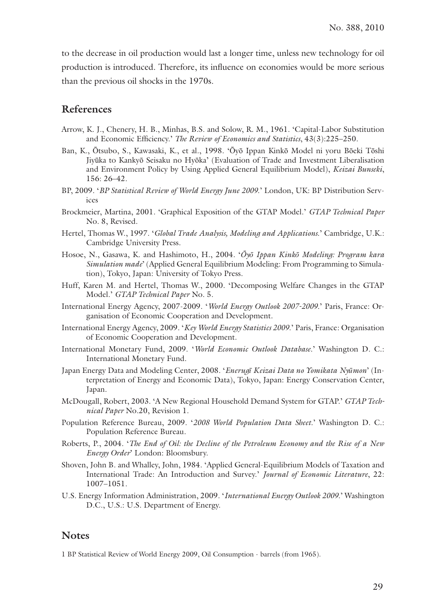to the decrease in oil production would last a longer time, unless new technology for oil production is introduced. Therefore, its influence on economies would be more serious than the previous oil shocks in the 1970s.

## **References**

- Arrow, K. J., Chenery, H. B., Minhas, B.S. and Solow, R. M., 1961. 'Capital-Labor Substitution and Economic Efficiency.' *The Review of Economics and Statistics*, 43(3):225–250.
- Ban, K., Ōtsubo, S., Kawasaki, K., et al., 1998. 'Ōyō Ippan Kinkō Model ni yoru Bōeki Tōshi Jiyūka to Kankyō Seisaku no Hyōka' (Evaluation of Trade and Investment Liberalisation and Environment Policy by Using Applied General Equilibrium Model), *Keizai Bunseki*, 156: 26–42.
- BP, 2009. '*BP Statistical Review of World Energy June 2009*.' London, UK: BP Distribution Services
- Brockmeier, Martina, 2001. 'Graphical Exposition of the GTAP Model.' *GTAP Technical Paper* No. 8, Revised.
- Hertel, Thomas W., 1997. '*Global Trade Analysis, Modeling and Applications*.' Cambridge, U.K.: Cambridge University Press.
- Hosoe, N., Gasawa, K. and Hashimoto, H., 2004. '*Ōyō Ippan Kinkō Modeling: Program kara Simulation made*' (Applied General Equilibrium Modeling: From Programming to Simulation), Tokyo, Japan: University of Tokyo Press.
- Huff, Karen M. and Hertel, Thomas W., 2000. 'Decomposing Welfare Changes in the GTAP Model.' *GTAP Technical Paper* No. 5.
- International Energy Agency, 2007-2009. '*World Energy Outlook 2007-2009*.' Paris, France: Organisation of Economic Cooperation and Development.
- International Energy Agency, 2009. '*Key World Energy Statistics 2009*.' Paris, France: Organisation of Economic Cooperation and Development.
- International Monetary Fund, 2009. '*World Economic Outlook Database*.' Washington D. C.: International Monetary Fund.
- Japan Energy Data and Modeling Center, 2008. '*Enerugī Keizai Data no Yomikata Nyūmon*' (Interpretation of Energy and Economic Data), Tokyo, Japan: Energy Conservation Center, Japan.
- McDougall, Robert, 2003. 'A New Regional Household Demand System for GTAP.' *GTAP Technical Paper* No.20, Revision 1.
- Population Reference Bureau, 2009. '*2008 World Population Data Sheet*.' Washington D. C.: Population Reference Bureau.
- Roberts, P., 2004. '*The End of Oil: the Decline of the Petroleum Economy and the Rise of a New Energy Order*' London: Bloomsbury.
- Shoven, John B. and Whalley, John, 1984. 'Applied General-Equilibrium Models of Taxation and International Trade: An Introduction and Survey.' *Journal of Economic Literature*, 22: 1007–1051.
- U.S. Energy Information Administration, 2009. '*International Energy Outlook 2009*.' Washington D.C., U.S.: U.S. Department of Energy.

#### **Notes**

1 BP Statistical Review of World Energy 2009, Oil Consumption - barrels (from 1965).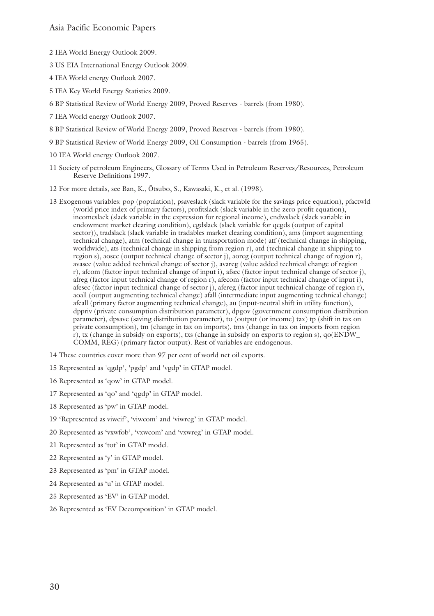- 2 IEA World Energy Outlook 2009.
- 3 US EIA International Energy Outlook 2009.
- 4 IEA World energy Outlook 2007.
- 5 IEA Key World Energy Statistics 2009.
- 6 BP Statistical Review of World Energy 2009, Proved Reserves barrels (from 1980).
- 7 IEA World energy Outlook 2007.
- 8 BP Statistical Review of World Energy 2009, Proved Reserves barrels (from 1980).
- 9 BP Statistical Review of World Energy 2009, Oil Consumption barrels (from 1965).
- 10 IEA World energy Outlook 2007.
- 11 Society of petroleum Engineers, Glossary of Terms Used in Petroleum Reserves/Resources, Petroleum Reserve Definitions 1997.
- 12 For more details, see Ban, K., Ōtsubo, S., Kawasaki, K., et al. (1998).
- 13 Exogenous variables: pop (population), psaveslack (slack variable for the savings price equation), pfactwld (world price index of primary factors), profitslack (slack variable in the zero profit equation), incomeslack (slack variable in the expression for regional income), endwslack (slack variable in endowment market clearing condition), cgdslack (slack variable for qcgds (output of capital sector)), tradslack (slack variable in tradables market clearing condition), ams (import augmenting technical change), atm (technical change in transportation mode) atf (technical change in shipping, worldwide), ats (technical change in shipping from region r), atd (technical change in shipping to region s), aosec (output technical change of sector j), aoreg (output technical change of region r), avasec (value added technical change of sector j), avareg (value added technical change of region r), afcom (factor input technical change of input i), afsec (factor input technical change of sector j), afreg (factor input technical change of region r), afecom (factor input technical change of input i), afesec (factor input technical change of sector j), afereg (factor input technical change of region r), aoall (output augmenting technical change) afall (intermediate input augmenting technical change) afeall (primary factor augmenting technical change), au (input-neutral shift in utility function), dppriv (private consumption distribution parameter), dpgov (government consumption distribution parameter), dpsave (saving distribution parameter), to (output (or income) tax) tp (shift in tax on private consumption), tm (change in tax on imports), tms (change in tax on imports from region r), tx (change in subsidy on exports), txs (change in subsidy on exports to region s), qo(ENDW\_ COMM, REG) (primary factor output). Rest of variables are endogenous.
- 14 These countries cover more than 97 per cent of world net oil exports.
- 15 Represented as 'qgdp', 'pgdp' and 'vgdp' in GTAP model.
- 16 Represented as 'qow' in GTAP model.
- 17 Represented as 'qo' and 'qgdp' in GTAP model.
- 18 Represented as 'pw' in GTAP model.
- 19 'Represented as viwcif', 'viwcom' and 'viwreg' in GTAP model.
- 20 Represented as 'vxwfob', 'vxwcom' and 'vxwreg' in GTAP model.
- 21 Represented as 'tot' in GTAP model.
- 22 Represented as 'y' in GTAP model.
- 23 Represented as 'pm' in GTAP model.
- 24 Represented as 'u' in GTAP model.
- 25 Represented as 'EV' in GTAP model.
- 26 Represented as 'EV Decomposition' in GTAP model.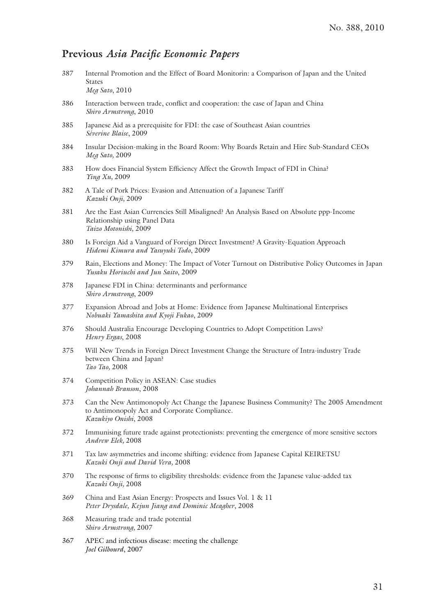## **Previous** *Asia Pacific Economic Papers*

- 387 Internal Promotion and the Effect of Board Monitorin: a Comparison of Japan and the United States *Meg Sato*, 2010
- 386 Interaction between trade, conflict and cooperation: the case of Japan and China *Shiro Armstrong*, 2010
- 385 Japanese Aid as a prerequisite for FDI: the case of Southeast Asian countries *Séverine Blaise*, 2009
- 384 Insular Decision-making in the Board Room: Why Boards Retain and Hire Sub-Standard CEOs *Meg Sato,* 2009
- 383 How does Financial System Efficiency Affect the Growth Impact of FDI in China? *Ying Xu,* 2009
- 382 A Tale of Pork Prices: Evasion and Attenuation of a Japanese Tariff *Kazuki Onji,* 2009
- 381 Are the East Asian Currencies Still Misaligned? An Analysis Based on Absolute ppp-Income Relationship using Panel Data *Taizo Motonishi,* 2009
- 380 Is Foreign Aid a Vanguard of Foreign Direct Investment? A Gravity-Equation Approach *Hidemi Kimura and Yasuyuki Todo*, 2009
- 379 Rain, Elections and Money: The Impact of Voter Turnout on Distributive Policy Outcomes in Japan *Yusaku Horiuchi and Jun Saito*, 2009
- 378 Japanese FDI in China: determinants and performance *Shiro Armstrong*, 2009
- 377 Expansion Abroad and Jobs at Home: Evidence from Japanese Multinational Enterprises *Nobuaki Yamashita and Kyoji Fukao*, 2009
- 376 Should Australia Encourage Developing Countries to Adopt Competition Laws? *Henry Ergas*, 2008
- 375 Will New Trends in Foreign Direct Investment Change the Structure of Intra-industry Trade between China and Japan? *Tao Tao,* 2008
- 374 Competition Policy in ASEAN: Case studies *Johannah Branson*, 2008
- 373 Can the New Antimonopoly Act Change the Japanese Business Community? The 2005 Amendment to Antimonopoly Act and Corporate Compliance. *Kazukiyo Onishi*, 2008
- 372 Immunising future trade against protectionists: preventing the emergence of more sensitive sectors *Andrew Elek,* 2008
- 371 Tax law asymmetries and income shifting: evidence from Japanese Capital KEIRETSU *Kazuki Onji and David Vera,* 2008
- 370 The response of firms to eligibility thresholds: evidence from the Japanese value-added tax *Kazuki Onji,* 2008
- 369 China and East Asian Energy: Prospects and Issues Vol. 1 & 11 *Peter Drysdale, Kejun Jiang and Dominic Meagher*, 2008
- 368 Measuring trade and trade potential *Shiro Armstrong,* 2007
- 367 APEC and infectious disease: meeting the challenge *Joel Gilbourd*, 2007